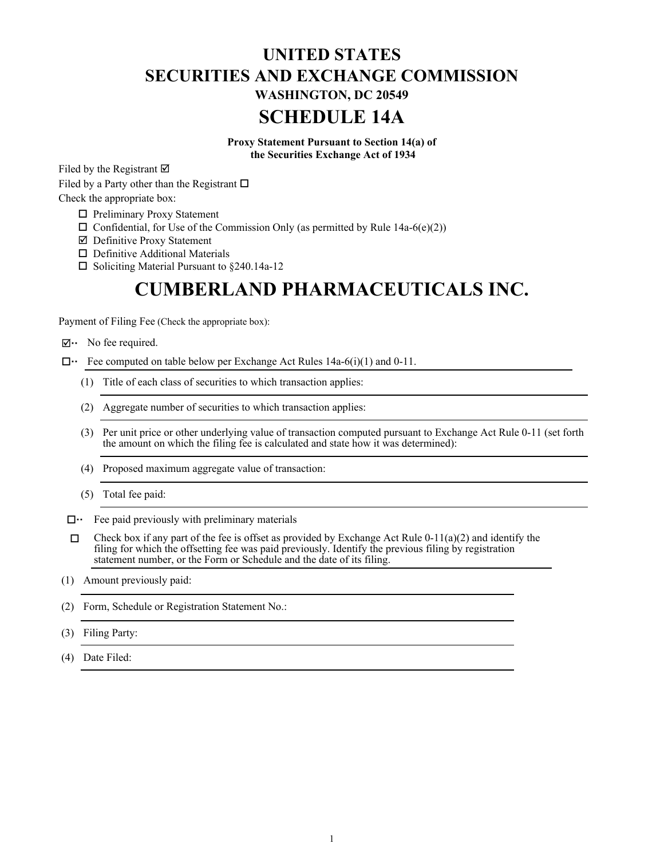# **UNITED STATES SECURITIES AND EXCHANGE COMMISSION WASHINGTON, DC 20549 SCHEDULE 14A**

**Proxy Statement Pursuant to Section 14(a) of the Securities Exchange Act of 1934**

Filed by the Registrant  $\overline{\mathfrak{A}}$ 

Filed by a Party other than the Registrant  $\square$ Check the appropriate box:

- $\Box$  Preliminary Proxy Statement
- $\Box$  Confidential, for Use of the Commission Only (as permitted by Rule 14a-6(e)(2))
- $\boxtimes$  Definitive Proxy Statement
- $\Box$  Definitive Additional Materials
- $\Box$  Soliciting Material Pursuant to §240.14a-12

# **CUMBERLAND PHARMACEUTICALS INC.**

Payment of Filing Fee (Check the appropriate box):

- $\boxtimes \cdots$  No fee required.
- $\Box \cdot \Box$  Fee computed on table below per Exchange Act Rules 14a-6(i)(1) and 0-11.
	- (1) Title of each class of securities to which transaction applies:
	- (2) Aggregate number of securities to which transaction applies:
	- (3) Per unit price or other underlying value of transaction computed pursuant to Exchange Act Rule 0-11 (set forth the amount on which the filing fee is calculated and state how it was determined):
	- (4) Proposed maximum aggregate value of transaction:
	- (5) Total fee paid:
- $\Box \cdot \Box$  Fee paid previously with preliminary materials
- $\Box$  Check box if any part of the fee is offset as provided by Exchange Act Rule 0-11(a)(2) and identify the filing for which the offsetting fee was paid previously. Identify the previous filing by registration statement number, or the Form or Schedule and the date of its filing.
- (1) Amount previously paid:
- (2) Form, Schedule or Registration Statement No.:
- (3) Filing Party:
- (4) Date Filed: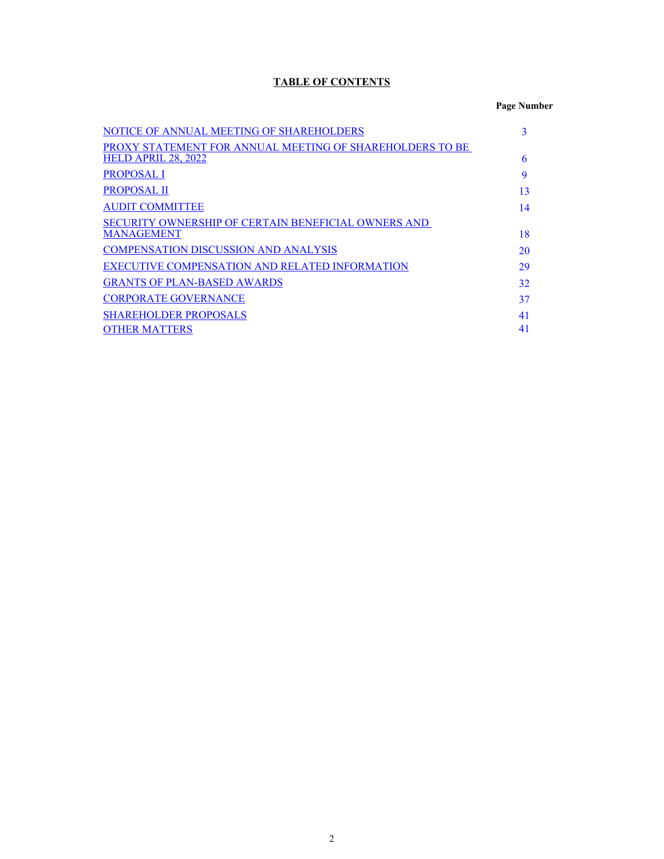# **TABLE OF CONTENTS**

# **Page Number**

| NOTICE OF ANNUAL MEETING OF SHAREHOLDERS                 |    |
|----------------------------------------------------------|----|
| PROXY STATEMENT FOR ANNUAL MEETING OF SHAREHOLDERS TO BE |    |
| <b>HELD APRIL 28, 2022</b>                               | 6  |
| <b>PROPOSAL I</b>                                        | 9  |
| PROPOSAL II                                              | 13 |
| <b>AUDIT COMMITTEE</b>                                   | 14 |
| SECURITY OWNERSHIP OF CERTAIN BENEFICIAL OWNERS AND      |    |
| MANAGEMENT                                               | 18 |
| <b>COMPENSATION DISCUSSION AND ANALYSIS</b>              | 20 |
| EXECUTIVE COMPENSATION AND RELATED INFORMATION           | 29 |
| <b>GRANTS OF PLAN-BASED AWARDS</b>                       | 32 |
| <b>CORPORATE GOVERNANCE</b>                              | 37 |
| <b>SHAREHOLDER PROPOSALS</b>                             | 41 |
| <b>OTHER MATTERS</b>                                     | 41 |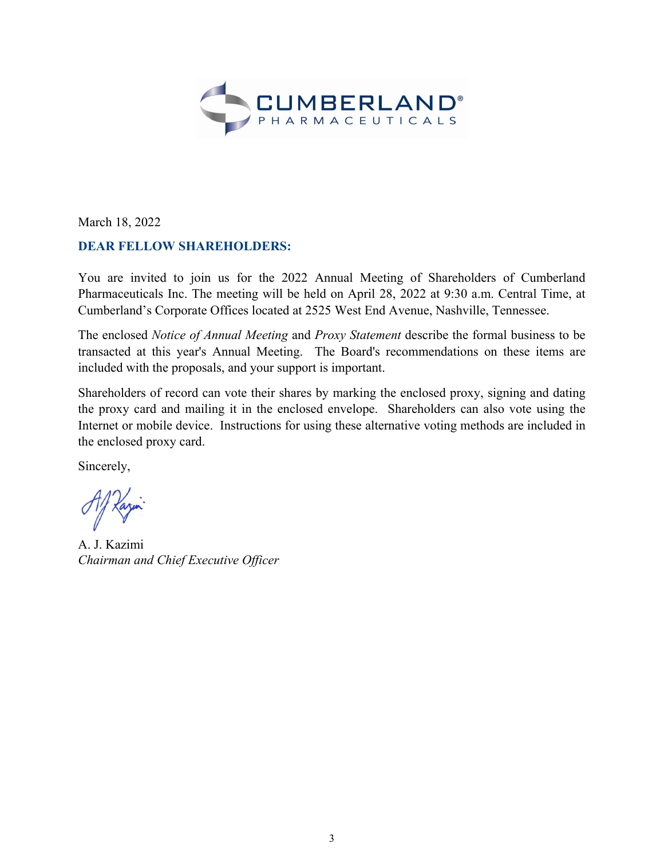

March 18, 2022

# **DEAR FELLOW SHAREHOLDERS:**

You are invited to join us for the 2022 Annual Meeting of Shareholders of Cumberland Pharmaceuticals Inc. The meeting will be held on April 28, 2022 at 9:30 a.m. Central Time, at Cumberland's Corporate Offices located at 2525 West End Avenue, Nashville, Tennessee.

The enclosed *Notice of Annual Meeting* and *Proxy Statement* describe the formal business to be transacted at this year's Annual Meeting. The Board's recommendations on these items are included with the proposals, and your support is important.

Shareholders of record can vote their shares by marking the enclosed proxy, signing and dating the proxy card and mailing it in the enclosed envelope. Shareholders can also vote using the Internet or mobile device. Instructions for using these alternative voting methods are included in the enclosed proxy card.

Sincerely,

A. J. Kazimi *Chairman and Chief Executive Officer*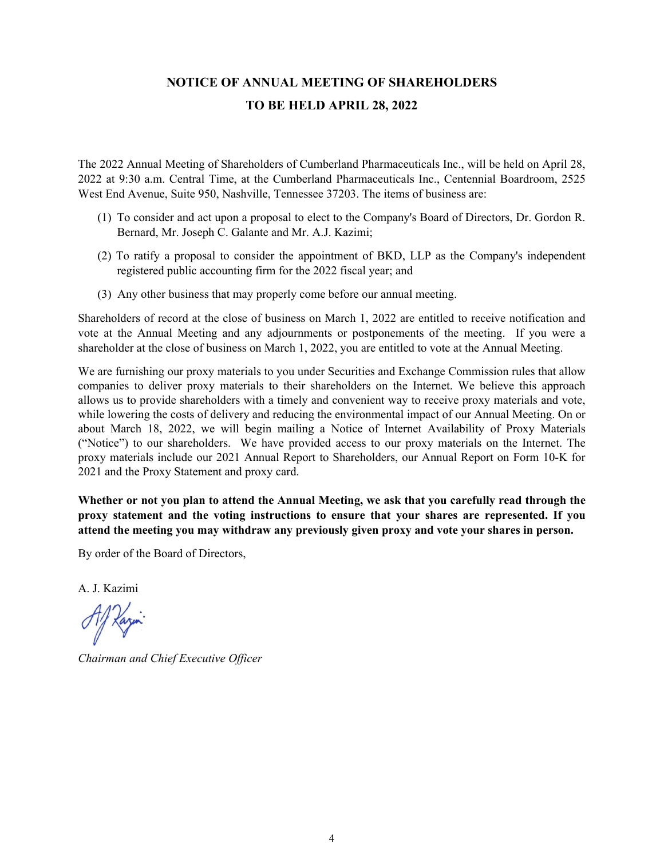# **NOTICE OF ANNUAL MEETING OF SHAREHOLDERS TO BE HELD APRIL 28, 2022**

The 2022 Annual Meeting of Shareholders of Cumberland Pharmaceuticals Inc., will be held on April 28, 2022 at 9:30 a.m. Central Time, at the Cumberland Pharmaceuticals Inc., Centennial Boardroom, 2525 West End Avenue, Suite 950, Nashville, Tennessee 37203. The items of business are:

- (1) To consider and act upon a proposal to elect to the Company's Board of Directors, Dr. Gordon R. Bernard, Mr. Joseph C. Galante and Mr. A.J. Kazimi;
- (2) To ratify a proposal to consider the appointment of BKD, LLP as the Company's independent registered public accounting firm for the 2022 fiscal year; and
- (3) Any other business that may properly come before our annual meeting.

Shareholders of record at the close of business on March 1, 2022 are entitled to receive notification and vote at the Annual Meeting and any adjournments or postponements of the meeting. If you were a shareholder at the close of business on March 1, 2022, you are entitled to vote at the Annual Meeting.

We are furnishing our proxy materials to you under Securities and Exchange Commission rules that allow companies to deliver proxy materials to their shareholders on the Internet. We believe this approach allows us to provide shareholders with a timely and convenient way to receive proxy materials and vote, while lowering the costs of delivery and reducing the environmental impact of our Annual Meeting. On or about March 18, 2022, we will begin mailing a Notice of Internet Availability of Proxy Materials ("Notice") to our shareholders. We have provided access to our proxy materials on the Internet. The proxy materials include our 2021 Annual Report to Shareholders, our Annual Report on Form 10-K for 2021 and the Proxy Statement and proxy card.

**Whether or not you plan to attend the Annual Meeting, we ask that you carefully read through the proxy statement and the voting instructions to ensure that your shares are represented. If you attend the meeting you may withdraw any previously given proxy and vote your shares in person.**

By order of the Board of Directors,

A. J. Kazimi

*Chairman and Chief Executive Officer*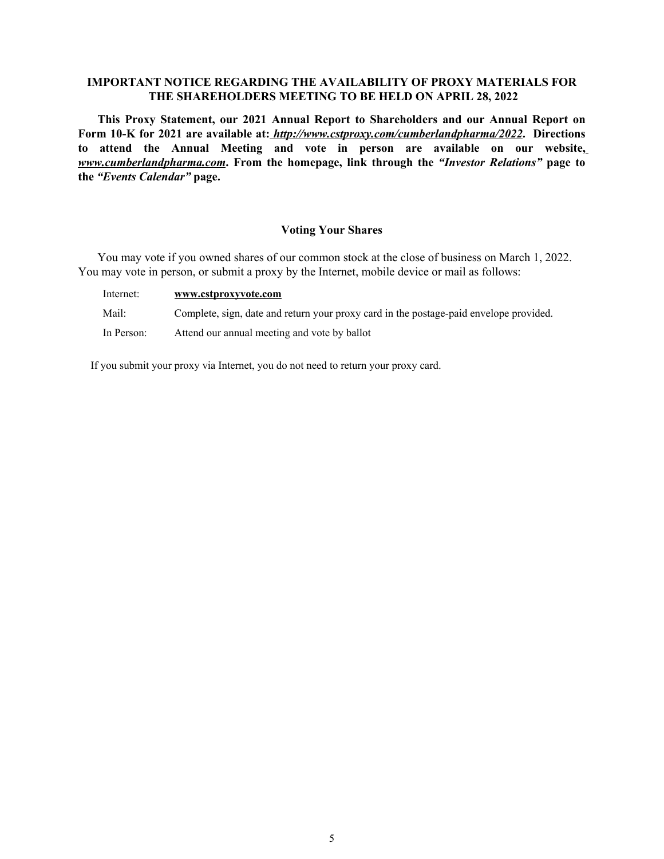# **IMPORTANT NOTICE REGARDING THE AVAILABILITY OF PROXY MATERIALS FOR THE SHAREHOLDERS MEETING TO BE HELD ON APRIL 28, 2022**

**This Proxy Statement, our 2021 Annual Report to Shareholders and our Annual Report on Form 10-K for 2021 are available at:** *http://www.cstproxy.com/cumberlandpharma/2022***. Directions to attend the Annual Meeting and vote in person are available on our website,** *www.cumberlandpharma.com***. From the homepage, link through the** *"Investor Relations"* **page to the** *"Events Calendar"* **page.** 

# **Voting Your Shares**

You may vote if you owned shares of our common stock at the close of business on March 1, 2022. You may vote in person, or submit a proxy by the Internet, mobile device or mail as follows:

| Internet:  | www.cstproxyvote.com                                                                   |
|------------|----------------------------------------------------------------------------------------|
| Mail:      | Complete, sign, date and return your proxy card in the postage-paid envelope provided. |
| In Person: | Attend our annual meeting and vote by ballot                                           |

If you submit your proxy via Internet, you do not need to return your proxy card.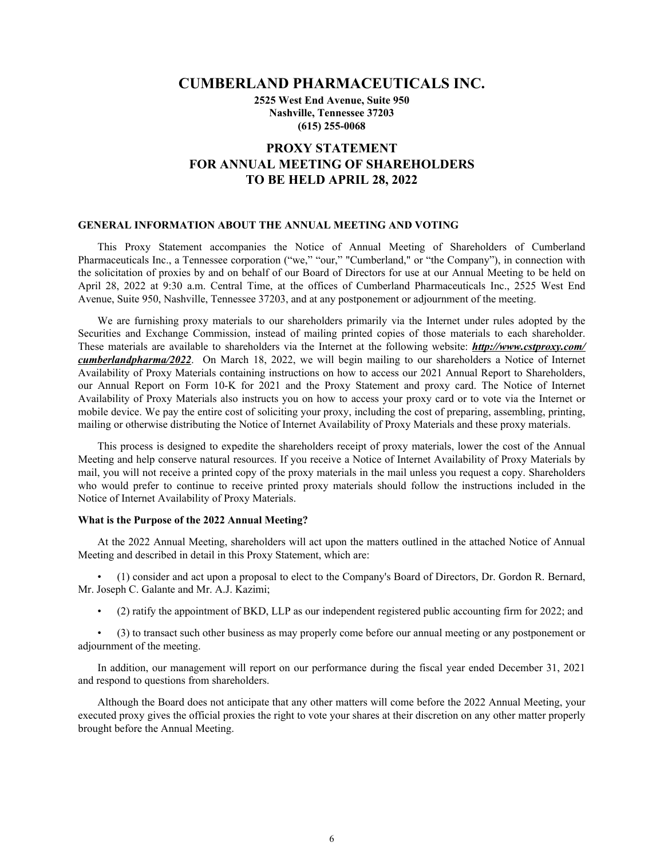# **CUMBERLAND PHARMACEUTICALS INC.**

**2525 West End Avenue, Suite 950 Nashville, Tennessee 37203 (615) 255-0068**

# **PROXY STATEMENT FOR ANNUAL MEETING OF SHAREHOLDERS TO BE HELD APRIL 28, 2022**

#### **GENERAL INFORMATION ABOUT THE ANNUAL MEETING AND VOTING**

This Proxy Statement accompanies the Notice of Annual Meeting of Shareholders of Cumberland Pharmaceuticals Inc., a Tennessee corporation ("we," "our," "Cumberland," or "the Company"), in connection with the solicitation of proxies by and on behalf of our Board of Directors for use at our Annual Meeting to be held on April 28, 2022 at 9:30 a.m. Central Time, at the offices of Cumberland Pharmaceuticals Inc., 2525 West End Avenue, Suite 950, Nashville, Tennessee 37203, and at any postponement or adjournment of the meeting.

We are furnishing proxy materials to our shareholders primarily via the Internet under rules adopted by the Securities and Exchange Commission, instead of mailing printed copies of those materials to each shareholder. These materials are available to shareholders via the Internet at the following website: *http://www.cstproxy.com/ cumberlandpharma/2022*. On March 18, 2022, we will begin mailing to our shareholders a Notice of Internet Availability of Proxy Materials containing instructions on how to access our 2021 Annual Report to Shareholders, our Annual Report on Form 10-K for 2021 and the Proxy Statement and proxy card. The Notice of Internet Availability of Proxy Materials also instructs you on how to access your proxy card or to vote via the Internet or mobile device. We pay the entire cost of soliciting your proxy, including the cost of preparing, assembling, printing, mailing or otherwise distributing the Notice of Internet Availability of Proxy Materials and these proxy materials.

This process is designed to expedite the shareholders receipt of proxy materials, lower the cost of the Annual Meeting and help conserve natural resources. If you receive a Notice of Internet Availability of Proxy Materials by mail, you will not receive a printed copy of the proxy materials in the mail unless you request a copy. Shareholders who would prefer to continue to receive printed proxy materials should follow the instructions included in the Notice of Internet Availability of Proxy Materials.

# **What is the Purpose of the 2022 Annual Meeting?**

At the 2022 Annual Meeting, shareholders will act upon the matters outlined in the attached Notice of Annual Meeting and described in detail in this Proxy Statement, which are:

• (1) consider and act upon a proposal to elect to the Company's Board of Directors, Dr. Gordon R. Bernard, Mr. Joseph C. Galante and Mr. A.J. Kazimi;

• (2) ratify the appointment of BKD, LLP as our independent registered public accounting firm for 2022; and

• (3) to transact such other business as may properly come before our annual meeting or any postponement or adjournment of the meeting.

In addition, our management will report on our performance during the fiscal year ended December 31, 2021 and respond to questions from shareholders.

Although the Board does not anticipate that any other matters will come before the 2022 Annual Meeting, your executed proxy gives the official proxies the right to vote your shares at their discretion on any other matter properly brought before the Annual Meeting.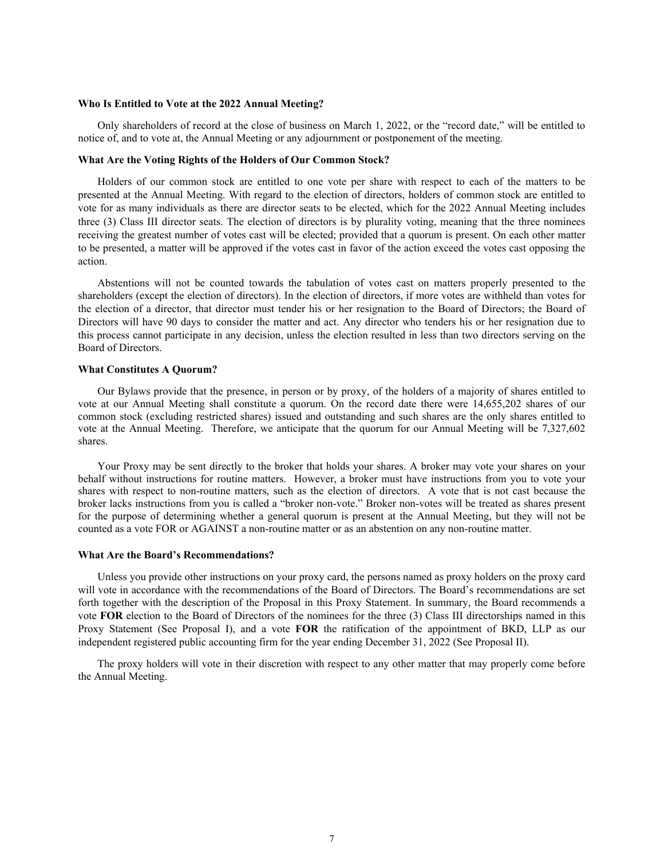### **Who Is Entitled to Vote at the 2022 Annual Meeting?**

Only shareholders of record at the close of business on March 1, 2022, or the "record date," will be entitled to notice of, and to vote at, the Annual Meeting or any adjournment or postponement of the meeting.

### **What Are the Voting Rights of the Holders of Our Common Stock?**

Holders of our common stock are entitled to one vote per share with respect to each of the matters to be presented at the Annual Meeting. With regard to the election of directors, holders of common stock are entitled to vote for as many individuals as there are director seats to be elected, which for the 2022 Annual Meeting includes three (3) Class III director seats. The election of directors is by plurality voting, meaning that the three nominees receiving the greatest number of votes cast will be elected; provided that a quorum is present. On each other matter to be presented, a matter will be approved if the votes cast in favor of the action exceed the votes cast opposing the action.

Abstentions will not be counted towards the tabulation of votes cast on matters properly presented to the shareholders (except the election of directors). In the election of directors, if more votes are withheld than votes for the election of a director, that director must tender his or her resignation to the Board of Directors; the Board of Directors will have 90 days to consider the matter and act. Any director who tenders his or her resignation due to this process cannot participate in any decision, unless the election resulted in less than two directors serving on the Board of Directors.

#### **What Constitutes A Quorum?**

Our Bylaws provide that the presence, in person or by proxy, of the holders of a majority of shares entitled to vote at our Annual Meeting shall constitute a quorum. On the record date there were 14,655,202 shares of our common stock (excluding restricted shares) issued and outstanding and such shares are the only shares entitled to vote at the Annual Meeting. Therefore, we anticipate that the quorum for our Annual Meeting will be 7,327,602 shares.

Your Proxy may be sent directly to the broker that holds your shares. A broker may vote your shares on your behalf without instructions for routine matters. However, a broker must have instructions from you to vote your shares with respect to non-routine matters, such as the election of directors. A vote that is not cast because the broker lacks instructions from you is called a "broker non-vote." Broker non-votes will be treated as shares present for the purpose of determining whether a general quorum is present at the Annual Meeting, but they will not be counted as a vote FOR or AGAINST a non-routine matter or as an abstention on any non-routine matter.

#### **What Are the Board's Recommendations?**

Unless you provide other instructions on your proxy card, the persons named as proxy holders on the proxy card will vote in accordance with the recommendations of the Board of Directors. The Board's recommendations are set forth together with the description of the Proposal in this Proxy Statement. In summary, the Board recommends a vote **FOR** election to the Board of Directors of the nominees for the three (3) Class III directorships named in this Proxy Statement (See Proposal I), and a vote **FOR** the ratification of the appointment of BKD, LLP as our independent registered public accounting firm for the year ending December 31, 2022 (See Proposal II).

The proxy holders will vote in their discretion with respect to any other matter that may properly come before the Annual Meeting.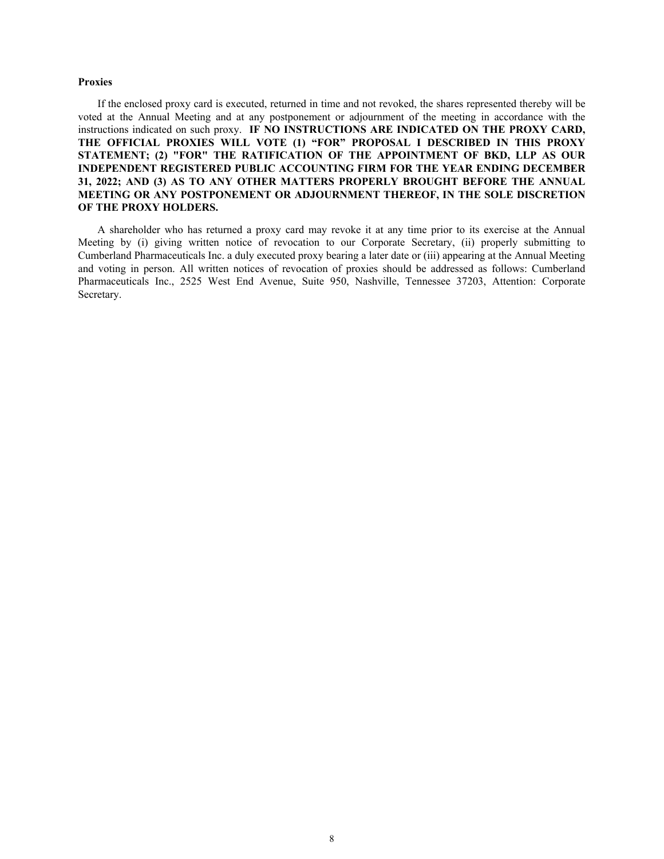#### **Proxies**

If the enclosed proxy card is executed, returned in time and not revoked, the shares represented thereby will be voted at the Annual Meeting and at any postponement or adjournment of the meeting in accordance with the instructions indicated on such proxy. **IF NO INSTRUCTIONS ARE INDICATED ON THE PROXY CARD, THE OFFICIAL PROXIES WILL VOTE (1) "FOR" PROPOSAL I DESCRIBED IN THIS PROXY STATEMENT; (2) "FOR" THE RATIFICATION OF THE APPOINTMENT OF BKD, LLP AS OUR INDEPENDENT REGISTERED PUBLIC ACCOUNTING FIRM FOR THE YEAR ENDING DECEMBER 31, 2022; AND (3) AS TO ANY OTHER MATTERS PROPERLY BROUGHT BEFORE THE ANNUAL MEETING OR ANY POSTPONEMENT OR ADJOURNMENT THEREOF, IN THE SOLE DISCRETION OF THE PROXY HOLDERS.**

A shareholder who has returned a proxy card may revoke it at any time prior to its exercise at the Annual Meeting by (i) giving written notice of revocation to our Corporate Secretary, (ii) properly submitting to Cumberland Pharmaceuticals Inc. a duly executed proxy bearing a later date or (iii) appearing at the Annual Meeting and voting in person. All written notices of revocation of proxies should be addressed as follows: Cumberland Pharmaceuticals Inc., 2525 West End Avenue, Suite 950, Nashville, Tennessee 37203, Attention: Corporate Secretary.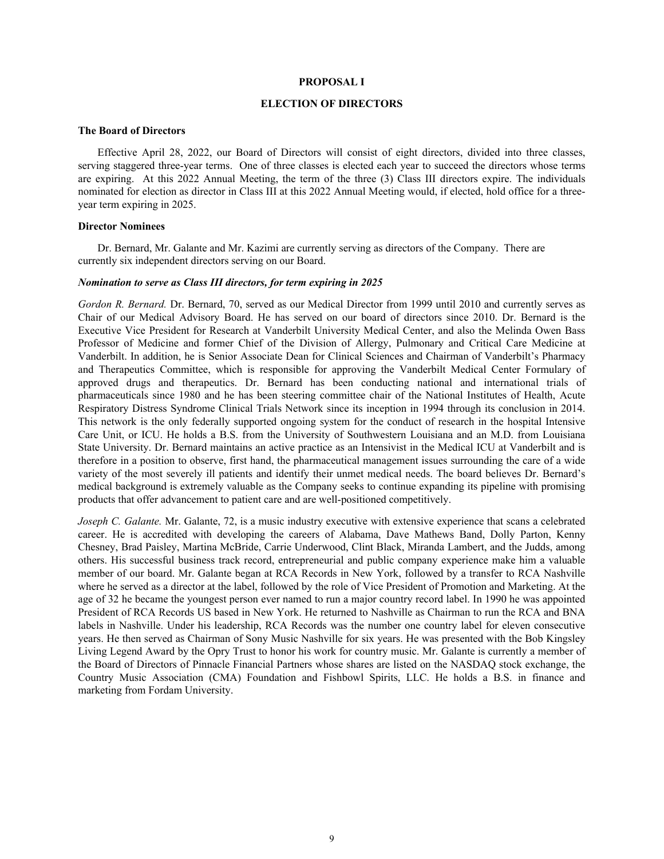#### **PROPOSAL I**

# **ELECTION OF DIRECTORS**

#### **The Board of Directors**

Effective April 28, 2022, our Board of Directors will consist of eight directors, divided into three classes, serving staggered three-year terms. One of three classes is elected each year to succeed the directors whose terms are expiring. At this 2022 Annual Meeting, the term of the three (3) Class III directors expire. The individuals nominated for election as director in Class III at this 2022 Annual Meeting would, if elected, hold office for a threeyear term expiring in 2025.

# **Director Nominees**

Dr. Bernard, Mr. Galante and Mr. Kazimi are currently serving as directors of the Company. There are currently six independent directors serving on our Board.

#### *Nomination to serve as Class III directors, for term expiring in 2025*

*Gordon R. Bernard.* Dr. Bernard, 70, served as our Medical Director from 1999 until 2010 and currently serves as Chair of our Medical Advisory Board. He has served on our board of directors since 2010. Dr. Bernard is the Executive Vice President for Research at Vanderbilt University Medical Center, and also the Melinda Owen Bass Professor of Medicine and former Chief of the Division of Allergy, Pulmonary and Critical Care Medicine at Vanderbilt. In addition, he is Senior Associate Dean for Clinical Sciences and Chairman of Vanderbilt's Pharmacy and Therapeutics Committee, which is responsible for approving the Vanderbilt Medical Center Formulary of approved drugs and therapeutics. Dr. Bernard has been conducting national and international trials of pharmaceuticals since 1980 and he has been steering committee chair of the National Institutes of Health, Acute Respiratory Distress Syndrome Clinical Trials Network since its inception in 1994 through its conclusion in 2014. This network is the only federally supported ongoing system for the conduct of research in the hospital Intensive Care Unit, or ICU. He holds a B.S. from the University of Southwestern Louisiana and an M.D. from Louisiana State University. Dr. Bernard maintains an active practice as an Intensivist in the Medical ICU at Vanderbilt and is therefore in a position to observe, first hand, the pharmaceutical management issues surrounding the care of a wide variety of the most severely ill patients and identify their unmet medical needs. The board believes Dr. Bernard's medical background is extremely valuable as the Company seeks to continue expanding its pipeline with promising products that offer advancement to patient care and are well-positioned competitively.

*Joseph C. Galante.* Mr. Galante, 72, is a music industry executive with extensive experience that scans a celebrated career. He is accredited with developing the careers of Alabama, Dave Mathews Band, Dolly Parton, Kenny Chesney, Brad Paisley, Martina McBride, Carrie Underwood, Clint Black, Miranda Lambert, and the Judds, among others. His successful business track record, entrepreneurial and public company experience make him a valuable member of our board. Mr. Galante began at RCA Records in New York, followed by a transfer to RCA Nashville where he served as a director at the label, followed by the role of Vice President of Promotion and Marketing. At the age of 32 he became the youngest person ever named to run a major country record label. In 1990 he was appointed President of RCA Records US based in New York. He returned to Nashville as Chairman to run the RCA and BNA labels in Nashville. Under his leadership, RCA Records was the number one country label for eleven consecutive years. He then served as Chairman of Sony Music Nashville for six years. He was presented with the Bob Kingsley Living Legend Award by the Opry Trust to honor his work for country music. Mr. Galante is currently a member of the Board of Directors of Pinnacle Financial Partners whose shares are listed on the NASDAQ stock exchange, the Country Music Association (CMA) Foundation and Fishbowl Spirits, LLC. He holds a B.S. in finance and marketing from Fordam University.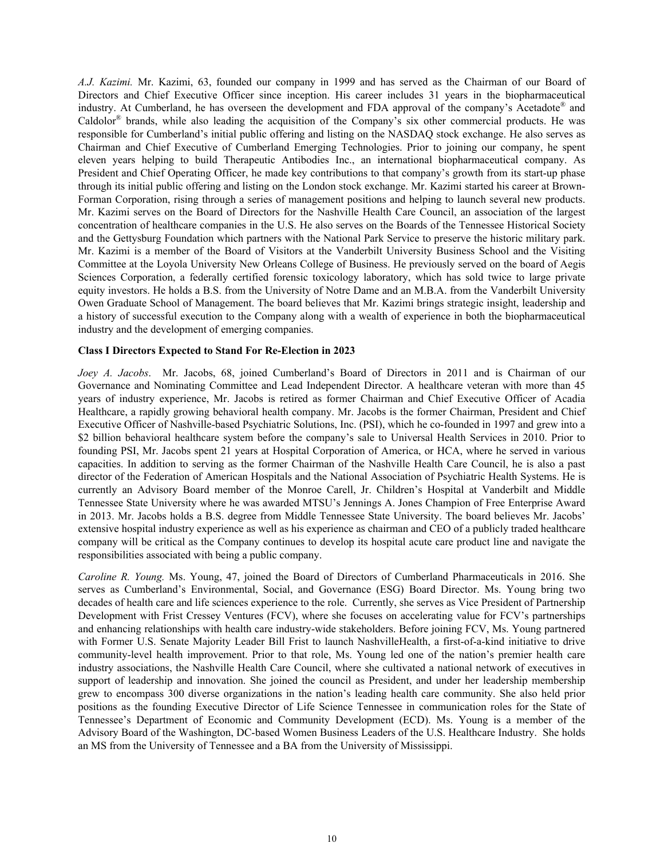*A.J. Kazimi.* Mr. Kazimi, 63, founded our company in 1999 and has served as the Chairman of our Board of Directors and Chief Executive Officer since inception. His career includes 31 years in the biopharmaceutical industry. At Cumberland, he has overseen the development and FDA approval of the company's Acetadote® and Caldolor<sup>®</sup> brands, while also leading the acquisition of the Company's six other commercial products. He was responsible for Cumberland's initial public offering and listing on the NASDAQ stock exchange. He also serves as Chairman and Chief Executive of Cumberland Emerging Technologies. Prior to joining our company, he spent eleven years helping to build Therapeutic Antibodies Inc., an international biopharmaceutical company. As President and Chief Operating Officer, he made key contributions to that company's growth from its start-up phase through its initial public offering and listing on the London stock exchange. Mr. Kazimi started his career at Brown-Forman Corporation, rising through a series of management positions and helping to launch several new products. Mr. Kazimi serves on the Board of Directors for the Nashville Health Care Council, an association of the largest concentration of healthcare companies in the U.S. He also serves on the Boards of the Tennessee Historical Society and the Gettysburg Foundation which partners with the National Park Service to preserve the historic military park. Mr. Kazimi is a member of the Board of Visitors at the Vanderbilt University Business School and the Visiting Committee at the Loyola University New Orleans College of Business. He previously served on the board of Aegis Sciences Corporation, a federally certified forensic toxicology laboratory, which has sold twice to large private equity investors. He holds a B.S. from the University of Notre Dame and an M.B.A. from the Vanderbilt University Owen Graduate School of Management. The board believes that Mr. Kazimi brings strategic insight, leadership and a history of successful execution to the Company along with a wealth of experience in both the biopharmaceutical industry and the development of emerging companies.

## **Class I Directors Expected to Stand For Re-Election in 2023**

*Joey A. Jacobs*. Mr. Jacobs, 68, joined Cumberland's Board of Directors in 2011 and is Chairman of our Governance and Nominating Committee and Lead Independent Director. A healthcare veteran with more than 45 years of industry experience, Mr. Jacobs is retired as former Chairman and Chief Executive Officer of Acadia Healthcare, a rapidly growing behavioral health company. Mr. Jacobs is the former Chairman, President and Chief Executive Officer of Nashville-based Psychiatric Solutions, Inc. (PSI), which he co-founded in 1997 and grew into a \$2 billion behavioral healthcare system before the company's sale to Universal Health Services in 2010. Prior to founding PSI, Mr. Jacobs spent 21 years at Hospital Corporation of America, or HCA, where he served in various capacities. In addition to serving as the former Chairman of the Nashville Health Care Council, he is also a past director of the Federation of American Hospitals and the National Association of Psychiatric Health Systems. He is currently an Advisory Board member of the Monroe Carell, Jr. Children's Hospital at Vanderbilt and Middle Tennessee State University where he was awarded MTSU's Jennings A. Jones Champion of Free Enterprise Award in 2013. Mr. Jacobs holds a B.S. degree from Middle Tennessee State University. The board believes Mr. Jacobs' extensive hospital industry experience as well as his experience as chairman and CEO of a publicly traded healthcare company will be critical as the Company continues to develop its hospital acute care product line and navigate the responsibilities associated with being a public company.

*Caroline R. Young.* Ms. Young, 47, joined the Board of Directors of Cumberland Pharmaceuticals in 2016. She serves as Cumberland's Environmental, Social, and Governance (ESG) Board Director. Ms. Young bring two decades of health care and life sciences experience to the role. Currently, she serves as Vice President of Partnership Development with Frist Cressey Ventures (FCV), where she focuses on accelerating value for FCV's partnerships and enhancing relationships with health care industry-wide stakeholders. Before joining FCV, Ms. Young partnered with Former U.S. Senate Majority Leader Bill Frist to launch NashvilleHealth, a first-of-a-kind initiative to drive community-level health improvement. Prior to that role, Ms. Young led one of the nation's premier health care industry associations, the Nashville Health Care Council, where she cultivated a national network of executives in support of leadership and innovation. She joined the council as President, and under her leadership membership grew to encompass 300 diverse organizations in the nation's leading health care community. She also held prior positions as the founding Executive Director of Life Science Tennessee in communication roles for the State of Tennessee's Department of Economic and Community Development (ECD). Ms. Young is a member of the Advisory Board of the Washington, DC-based Women Business Leaders of the U.S. Healthcare Industry. She holds an MS from the University of Tennessee and a BA from the University of Mississippi.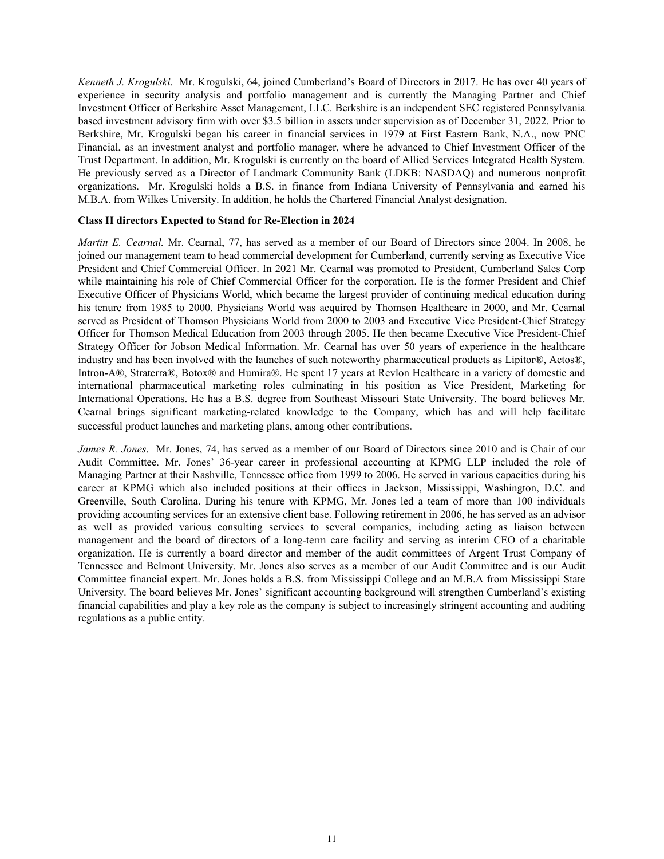*Kenneth J. Krogulski*. Mr. Krogulski, 64, joined Cumberland's Board of Directors in 2017. He has over 40 years of experience in security analysis and portfolio management and is currently the Managing Partner and Chief Investment Officer of Berkshire Asset Management, LLC. Berkshire is an independent SEC registered Pennsylvania based investment advisory firm with over \$3.5 billion in assets under supervision as of December 31, 2022. Prior to Berkshire, Mr. Krogulski began his career in financial services in 1979 at First Eastern Bank, N.A., now PNC Financial, as an investment analyst and portfolio manager, where he advanced to Chief Investment Officer of the Trust Department. In addition, Mr. Krogulski is currently on the board of Allied Services Integrated Health System. He previously served as a Director of Landmark Community Bank (LDKB: NASDAQ) and numerous nonprofit organizations. Mr. Krogulski holds a B.S. in finance from Indiana University of Pennsylvania and earned his M.B.A. from Wilkes University. In addition, he holds the Chartered Financial Analyst designation.

# **Class II directors Expected to Stand for Re-Election in 2024**

*Martin E. Cearnal.* Mr. Cearnal, 77, has served as a member of our Board of Directors since 2004. In 2008, he joined our management team to head commercial development for Cumberland, currently serving as Executive Vice President and Chief Commercial Officer. In 2021 Mr. Cearnal was promoted to President, Cumberland Sales Corp while maintaining his role of Chief Commercial Officer for the corporation. He is the former President and Chief Executive Officer of Physicians World, which became the largest provider of continuing medical education during his tenure from 1985 to 2000. Physicians World was acquired by Thomson Healthcare in 2000, and Mr. Cearnal served as President of Thomson Physicians World from 2000 to 2003 and Executive Vice President-Chief Strategy Officer for Thomson Medical Education from 2003 through 2005. He then became Executive Vice President-Chief Strategy Officer for Jobson Medical Information. Mr. Cearnal has over 50 years of experience in the healthcare industry and has been involved with the launches of such noteworthy pharmaceutical products as Lipitor®, Actos®, Intron-A®, Straterra®, Botox® and Humira®. He spent 17 years at Revlon Healthcare in a variety of domestic and international pharmaceutical marketing roles culminating in his position as Vice President, Marketing for International Operations. He has a B.S. degree from Southeast Missouri State University. The board believes Mr. Cearnal brings significant marketing-related knowledge to the Company, which has and will help facilitate successful product launches and marketing plans, among other contributions.

*James R. Jones*. Mr. Jones, 74, has served as a member of our Board of Directors since 2010 and is Chair of our Audit Committee. Mr. Jones' 36-year career in professional accounting at KPMG LLP included the role of Managing Partner at their Nashville, Tennessee office from 1999 to 2006. He served in various capacities during his career at KPMG which also included positions at their offices in Jackson, Mississippi, Washington, D.C. and Greenville, South Carolina. During his tenure with KPMG, Mr. Jones led a team of more than 100 individuals providing accounting services for an extensive client base. Following retirement in 2006, he has served as an advisor as well as provided various consulting services to several companies, including acting as liaison between management and the board of directors of a long-term care facility and serving as interim CEO of a charitable organization. He is currently a board director and member of the audit committees of Argent Trust Company of Tennessee and Belmont University. Mr. Jones also serves as a member of our Audit Committee and is our Audit Committee financial expert. Mr. Jones holds a B.S. from Mississippi College and an M.B.A from Mississippi State University. The board believes Mr. Jones' significant accounting background will strengthen Cumberland's existing financial capabilities and play a key role as the company is subject to increasingly stringent accounting and auditing regulations as a public entity.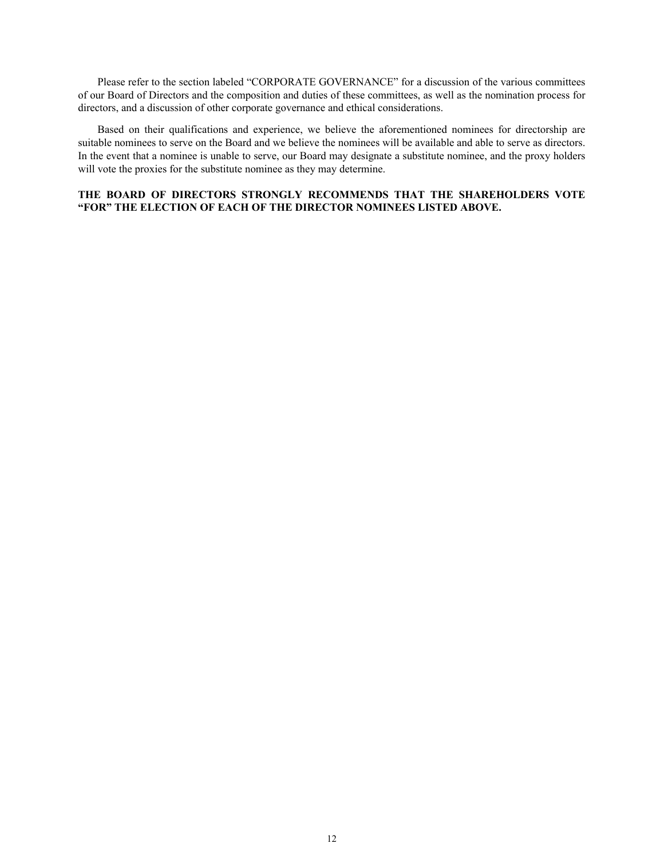Please refer to the section labeled "CORPORATE GOVERNANCE" for a discussion of the various committees of our Board of Directors and the composition and duties of these committees, as well as the nomination process for directors, and a discussion of other corporate governance and ethical considerations.

Based on their qualifications and experience, we believe the aforementioned nominees for directorship are suitable nominees to serve on the Board and we believe the nominees will be available and able to serve as directors. In the event that a nominee is unable to serve, our Board may designate a substitute nominee, and the proxy holders will vote the proxies for the substitute nominee as they may determine.

# **THE BOARD OF DIRECTORS STRONGLY RECOMMENDS THAT THE SHAREHOLDERS VOTE "FOR" THE ELECTION OF EACH OF THE DIRECTOR NOMINEES LISTED ABOVE.**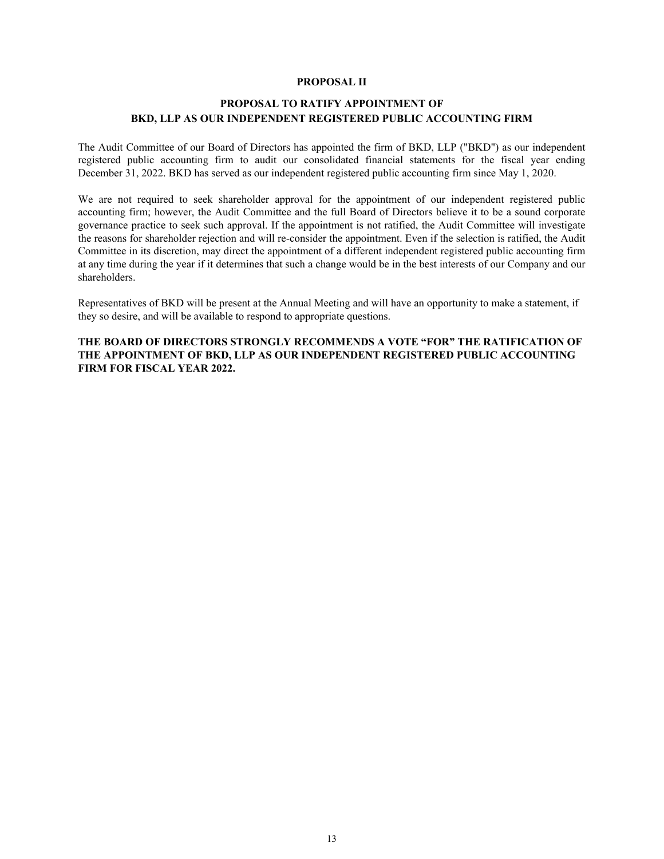# **PROPOSAL II**

# **PROPOSAL TO RATIFY APPOINTMENT OF BKD, LLP AS OUR INDEPENDENT REGISTERED PUBLIC ACCOUNTING FIRM**

The Audit Committee of our Board of Directors has appointed the firm of BKD, LLP ("BKD") as our independent registered public accounting firm to audit our consolidated financial statements for the fiscal year ending December 31, 2022. BKD has served as our independent registered public accounting firm since May 1, 2020.

We are not required to seek shareholder approval for the appointment of our independent registered public accounting firm; however, the Audit Committee and the full Board of Directors believe it to be a sound corporate governance practice to seek such approval. If the appointment is not ratified, the Audit Committee will investigate the reasons for shareholder rejection and will re-consider the appointment. Even if the selection is ratified, the Audit Committee in its discretion, may direct the appointment of a different independent registered public accounting firm at any time during the year if it determines that such a change would be in the best interests of our Company and our shareholders.

Representatives of BKD will be present at the Annual Meeting and will have an opportunity to make a statement, if they so desire, and will be available to respond to appropriate questions.

**THE BOARD OF DIRECTORS STRONGLY RECOMMENDS A VOTE "FOR" THE RATIFICATION OF THE APPOINTMENT OF BKD, LLP AS OUR INDEPENDENT REGISTERED PUBLIC ACCOUNTING FIRM FOR FISCAL YEAR 2022.**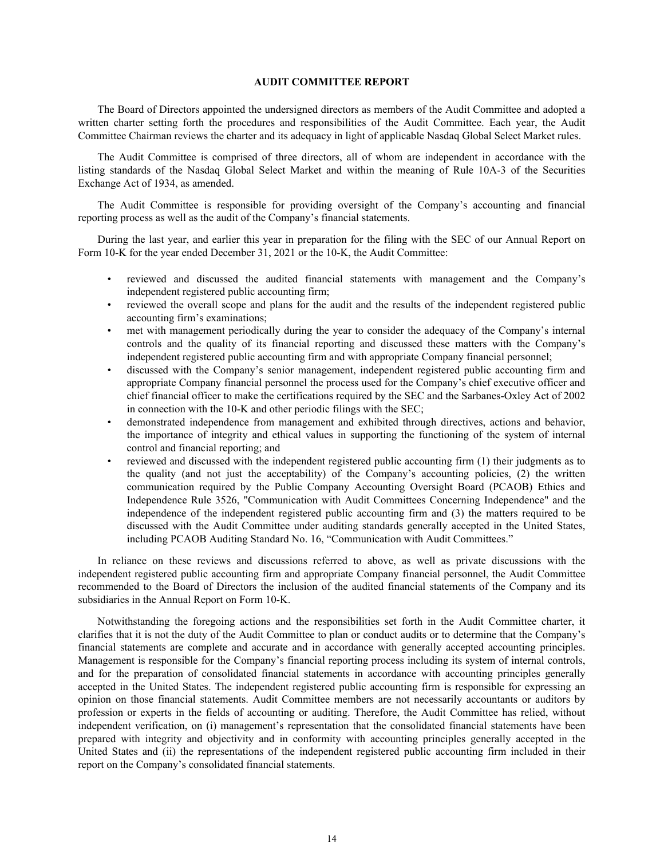#### **AUDIT COMMITTEE REPORT**

The Board of Directors appointed the undersigned directors as members of the Audit Committee and adopted a written charter setting forth the procedures and responsibilities of the Audit Committee. Each year, the Audit Committee Chairman reviews the charter and its adequacy in light of applicable Nasdaq Global Select Market rules.

The Audit Committee is comprised of three directors, all of whom are independent in accordance with the listing standards of the Nasdaq Global Select Market and within the meaning of Rule 10A-3 of the Securities Exchange Act of 1934, as amended.

The Audit Committee is responsible for providing oversight of the Company's accounting and financial reporting process as well as the audit of the Company's financial statements.

During the last year, and earlier this year in preparation for the filing with the SEC of our Annual Report on Form 10-K for the year ended December 31, 2021 or the 10-K, the Audit Committee:

- reviewed and discussed the audited financial statements with management and the Company's independent registered public accounting firm;
- reviewed the overall scope and plans for the audit and the results of the independent registered public accounting firm's examinations;
- met with management periodically during the year to consider the adequacy of the Company's internal controls and the quality of its financial reporting and discussed these matters with the Company's independent registered public accounting firm and with appropriate Company financial personnel;
- discussed with the Company's senior management, independent registered public accounting firm and appropriate Company financial personnel the process used for the Company's chief executive officer and chief financial officer to make the certifications required by the SEC and the Sarbanes-Oxley Act of 2002 in connection with the 10-K and other periodic filings with the SEC;
- demonstrated independence from management and exhibited through directives, actions and behavior, the importance of integrity and ethical values in supporting the functioning of the system of internal control and financial reporting; and
- reviewed and discussed with the independent registered public accounting firm (1) their judgments as to the quality (and not just the acceptability) of the Company's accounting policies, (2) the written communication required by the Public Company Accounting Oversight Board (PCAOB) Ethics and Independence Rule 3526, "Communication with Audit Committees Concerning Independence" and the independence of the independent registered public accounting firm and (3) the matters required to be discussed with the Audit Committee under auditing standards generally accepted in the United States, including PCAOB Auditing Standard No. 16, "Communication with Audit Committees."

In reliance on these reviews and discussions referred to above, as well as private discussions with the independent registered public accounting firm and appropriate Company financial personnel, the Audit Committee recommended to the Board of Directors the inclusion of the audited financial statements of the Company and its subsidiaries in the Annual Report on Form 10-K.

Notwithstanding the foregoing actions and the responsibilities set forth in the Audit Committee charter, it clarifies that it is not the duty of the Audit Committee to plan or conduct audits or to determine that the Company's financial statements are complete and accurate and in accordance with generally accepted accounting principles. Management is responsible for the Company's financial reporting process including its system of internal controls, and for the preparation of consolidated financial statements in accordance with accounting principles generally accepted in the United States. The independent registered public accounting firm is responsible for expressing an opinion on those financial statements. Audit Committee members are not necessarily accountants or auditors by profession or experts in the fields of accounting or auditing. Therefore, the Audit Committee has relied, without independent verification, on (i) management's representation that the consolidated financial statements have been prepared with integrity and objectivity and in conformity with accounting principles generally accepted in the United States and (ii) the representations of the independent registered public accounting firm included in their report on the Company's consolidated financial statements.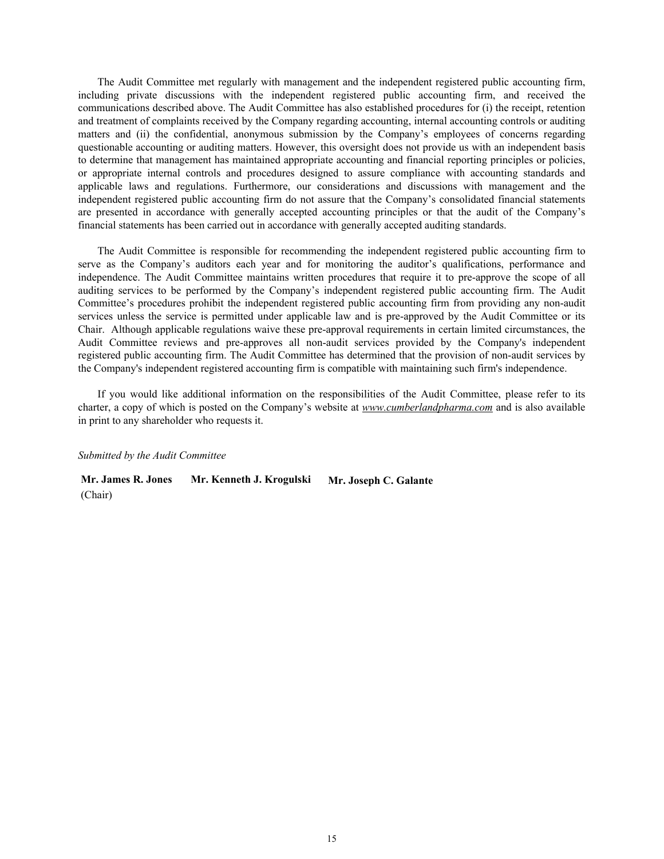The Audit Committee met regularly with management and the independent registered public accounting firm, including private discussions with the independent registered public accounting firm, and received the communications described above. The Audit Committee has also established procedures for (i) the receipt, retention and treatment of complaints received by the Company regarding accounting, internal accounting controls or auditing matters and (ii) the confidential, anonymous submission by the Company's employees of concerns regarding questionable accounting or auditing matters. However, this oversight does not provide us with an independent basis to determine that management has maintained appropriate accounting and financial reporting principles or policies, or appropriate internal controls and procedures designed to assure compliance with accounting standards and applicable laws and regulations. Furthermore, our considerations and discussions with management and the independent registered public accounting firm do not assure that the Company's consolidated financial statements are presented in accordance with generally accepted accounting principles or that the audit of the Company's financial statements has been carried out in accordance with generally accepted auditing standards.

The Audit Committee is responsible for recommending the independent registered public accounting firm to serve as the Company's auditors each year and for monitoring the auditor's qualifications, performance and independence. The Audit Committee maintains written procedures that require it to pre-approve the scope of all auditing services to be performed by the Company's independent registered public accounting firm. The Audit Committee's procedures prohibit the independent registered public accounting firm from providing any non-audit services unless the service is permitted under applicable law and is pre-approved by the Audit Committee or its Chair. Although applicable regulations waive these pre-approval requirements in certain limited circumstances, the Audit Committee reviews and pre-approves all non-audit services provided by the Company's independent registered public accounting firm. The Audit Committee has determined that the provision of non-audit services by the Company's independent registered accounting firm is compatible with maintaining such firm's independence.

If you would like additional information on the responsibilities of the Audit Committee, please refer to its charter, a copy of which is posted on the Company's website at *www.cumberlandpharma.com* and is also available in print to any shareholder who requests it.

#### *Submitted by the Audit Committee*

**Mr. James R. Jones Mr. Kenneth J. Krogulski Mr. Joseph C. Galante** (Chair)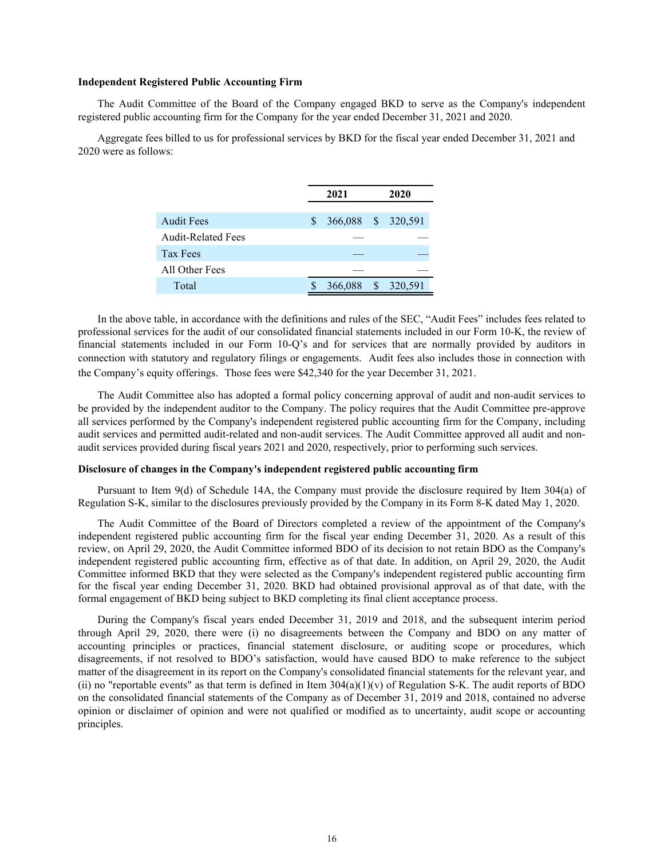#### **Independent Registered Public Accounting Firm**

 The Audit Committee of the Board of the Company engaged BKD to serve as the Company's independent registered public accounting firm for the Company for the year ended December 31, 2021 and 2020.

Aggregate fees billed to us for professional services by BKD for the fiscal year ended December 31, 2021 and 2020 were as follows:

|                           |     | 2021               |      | 2020    |
|---------------------------|-----|--------------------|------|---------|
|                           |     |                    |      |         |
| <b>Audit Fees</b>         | \$. | 366,088 \$ 320,591 |      |         |
| <b>Audit-Related Fees</b> |     |                    |      |         |
| Tax Fees                  |     |                    |      |         |
| All Other Fees            |     |                    |      |         |
| Total                     |     | 366,088            | - \$ | 320,591 |

In the above table, in accordance with the definitions and rules of the SEC, "Audit Fees" includes fees related to professional services for the audit of our consolidated financial statements included in our Form 10-K, the review of financial statements included in our Form 10-Q's and for services that are normally provided by auditors in connection with statutory and regulatory filings or engagements. Audit fees also includes those in connection with the Company's equity offerings. Those fees were \$42,340 for the year December 31, 2021.

The Audit Committee also has adopted a formal policy concerning approval of audit and non-audit services to be provided by the independent auditor to the Company. The policy requires that the Audit Committee pre-approve all services performed by the Company's independent registered public accounting firm for the Company, including audit services and permitted audit-related and non-audit services. The Audit Committee approved all audit and nonaudit services provided during fiscal years 2021 and 2020, respectively, prior to performing such services.

#### **Disclosure of changes in the Company's independent registered public accounting firm**

Pursuant to Item 9(d) of Schedule 14A, the Company must provide the disclosure required by Item 304(a) of Regulation S-K, similar to the disclosures previously provided by the Company in its Form 8-K dated May 1, 2020.

The Audit Committee of the Board of Directors completed a review of the appointment of the Company's independent registered public accounting firm for the fiscal year ending December 31, 2020. As a result of this review, on April 29, 2020, the Audit Committee informed BDO of its decision to not retain BDO as the Company's independent registered public accounting firm, effective as of that date. In addition, on April 29, 2020, the Audit Committee informed BKD that they were selected as the Company's independent registered public accounting firm for the fiscal year ending December 31, 2020. BKD had obtained provisional approval as of that date, with the formal engagement of BKD being subject to BKD completing its final client acceptance process.

During the Company's fiscal years ended December 31, 2019 and 2018, and the subsequent interim period through April 29, 2020, there were (i) no disagreements between the Company and BDO on any matter of accounting principles or practices, financial statement disclosure, or auditing scope or procedures, which disagreements, if not resolved to BDO's satisfaction, would have caused BDO to make reference to the subject matter of the disagreement in its report on the Company's consolidated financial statements for the relevant year, and (ii) no "reportable events" as that term is defined in Item  $304(a)(1)(v)$  of Regulation S-K. The audit reports of BDO on the consolidated financial statements of the Company as of December 31, 2019 and 2018, contained no adverse opinion or disclaimer of opinion and were not qualified or modified as to uncertainty, audit scope or accounting principles.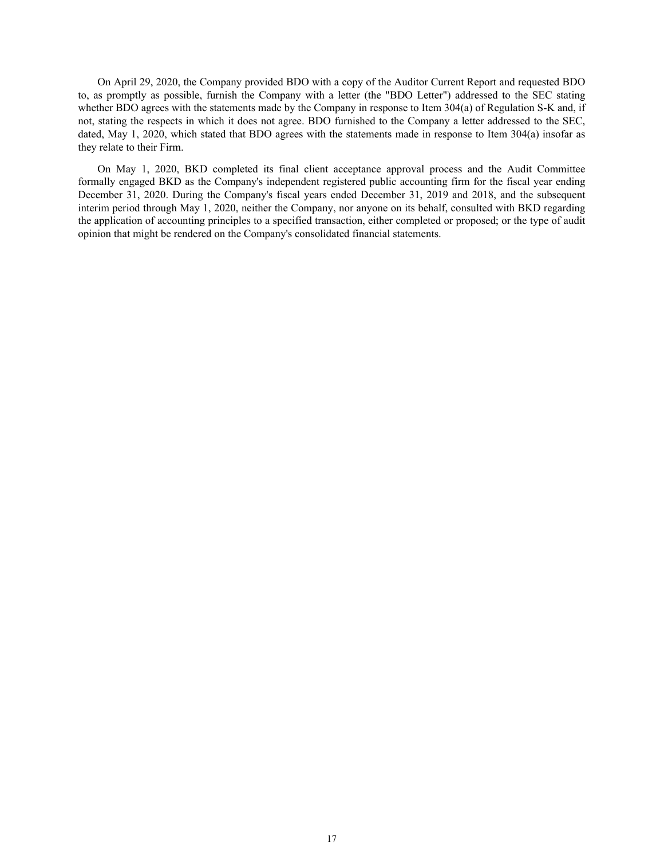On April 29, 2020, the Company provided BDO with a copy of the Auditor Current Report and requested BDO to, as promptly as possible, furnish the Company with a letter (the "BDO Letter") addressed to the SEC stating whether BDO agrees with the statements made by the Company in response to Item 304(a) of Regulation S-K and, if not, stating the respects in which it does not agree. BDO furnished to the Company a letter addressed to the SEC, dated, May 1, 2020, which stated that BDO agrees with the statements made in response to Item 304(a) insofar as they relate to their Firm.

On May 1, 2020, BKD completed its final client acceptance approval process and the Audit Committee formally engaged BKD as the Company's independent registered public accounting firm for the fiscal year ending December 31, 2020. During the Company's fiscal years ended December 31, 2019 and 2018, and the subsequent interim period through May 1, 2020, neither the Company, nor anyone on its behalf, consulted with BKD regarding the application of accounting principles to a specified transaction, either completed or proposed; or the type of audit opinion that might be rendered on the Company's consolidated financial statements.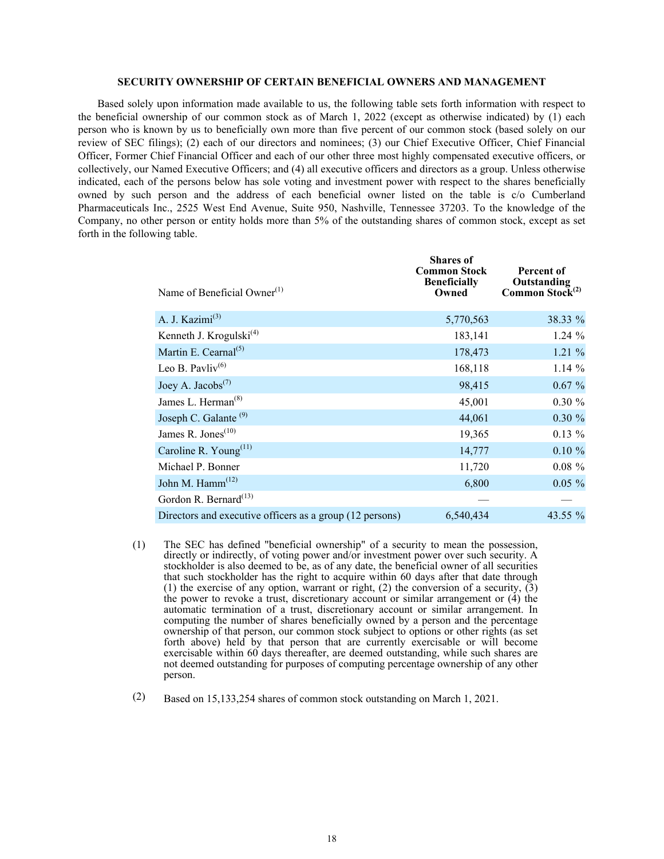#### **SECURITY OWNERSHIP OF CERTAIN BENEFICIAL OWNERS AND MANAGEMENT**

Based solely upon information made available to us, the following table sets forth information with respect to the beneficial ownership of our common stock as of March 1, 2022 (except as otherwise indicated) by (1) each person who is known by us to beneficially own more than five percent of our common stock (based solely on our review of SEC filings); (2) each of our directors and nominees; (3) our Chief Executive Officer, Chief Financial Officer, Former Chief Financial Officer and each of our other three most highly compensated executive officers, or collectively, our Named Executive Officers; and (4) all executive officers and directors as a group. Unless otherwise indicated, each of the persons below has sole voting and investment power with respect to the shares beneficially owned by such person and the address of each beneficial owner listed on the table is c/o Cumberland Pharmaceuticals Inc., 2525 West End Avenue, Suite 950, Nashville, Tennessee 37203. To the knowledge of the Company, no other person or entity holds more than 5% of the outstanding shares of common stock, except as set forth in the following table.

| Name of Beneficial Owner <sup>(1)</sup>                  | <b>Shares</b> of<br><b>Common Stock</b><br><b>Beneficially</b><br>Owned | Percent of<br>Outstanding<br>Common Stock <sup>(2)</sup> |
|----------------------------------------------------------|-------------------------------------------------------------------------|----------------------------------------------------------|
| A. J. Kazimi <sup>(3)</sup>                              | 5,770,563                                                               | 38.33 %                                                  |
| Kenneth J. Krogulski $^{(4)}$                            | 183,141                                                                 | 1.24%                                                    |
| Martin E. Cearnal <sup>(5)</sup>                         | 178,473                                                                 | 1.21%                                                    |
| Leo B. Pavliv <sup>(6)</sup>                             | 168,118                                                                 | 1.14%                                                    |
| Joey A. Jacobs <sup>(7)</sup>                            | 98,415                                                                  | $0.67 \%$                                                |
| James L. Herman <sup>(8)</sup>                           | 45,001                                                                  | $0.30 \%$                                                |
| Joseph C. Galante <sup>(9)</sup>                         | 44,061                                                                  | $0.30 \%$                                                |
| James R. Jones <sup><math>(10)</math></sup>              | 19,365                                                                  | $0.13 \%$                                                |
| Caroline R. Young <sup>(11)</sup>                        | 14,777                                                                  | $0.10 \%$                                                |
| Michael P. Bonner                                        | 11,720                                                                  | $0.08 \%$                                                |
| John M. Hamm <sup>(12)</sup>                             | 6,800                                                                   | $0.05 \%$                                                |
| Gordon R. Bernard <sup>(13)</sup>                        |                                                                         |                                                          |
| Directors and executive officers as a group (12 persons) | 6,540,434                                                               | 43.55 $\%$                                               |

- (1) The SEC has defined "beneficial ownership" of a security to mean the possession, directly or indirectly, of voting power and/or investment power over such security. A stockholder is also deemed to be, as of any date, the beneficial owner of all securities that such stockholder has the right to acquire within 60 days after that date through (1) the exercise of any option, warrant or right, (2) the conversion of a security,  $(3)$ the power to revoke a trust, discretionary account or similar arrangement or  $(4)$  the automatic termination of a trust, discretionary account or similar arrangement. In computing the number of shares beneficially owned by a person and the percentage ownership of that person, our common stock subject to options or other rights (as set forth above) held by that person that are currently exercisable or will become exercisable within 60 days thereafter, are deemed outstanding, while such shares are not deemed outstanding for purposes of computing percentage ownership of any other person.
- (2) Based on 15,133,254 shares of common stock outstanding on March 1, 2021.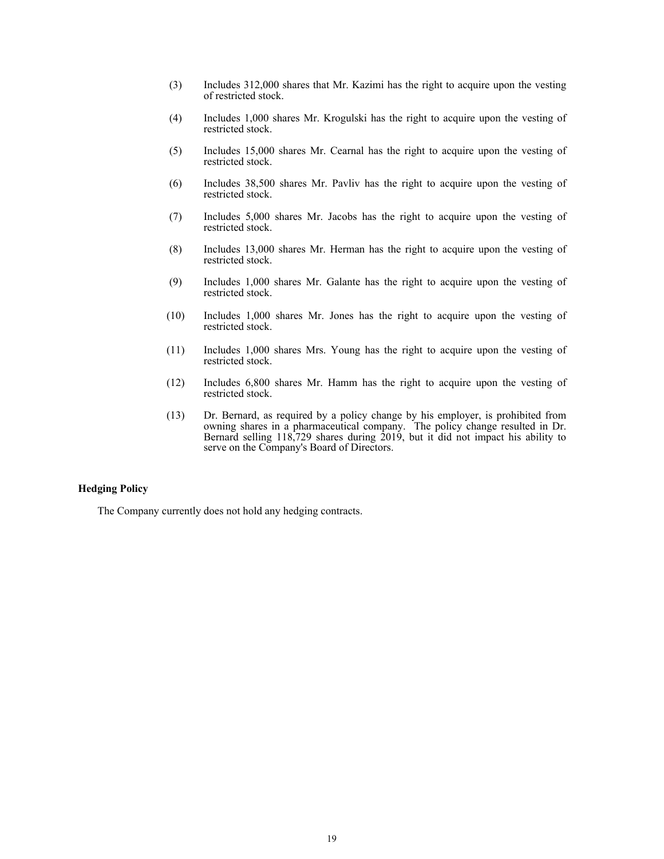- (3) Includes 312,000 shares that Mr. Kazimi has the right to acquire upon the vesting of restricted stock.
- (4) Includes 1,000 shares Mr. Krogulski has the right to acquire upon the vesting of restricted stock.
- (5) Includes 15,000 shares Mr. Cearnal has the right to acquire upon the vesting of restricted stock.
- (6) Includes 38,500 shares Mr. Pavliv has the right to acquire upon the vesting of restricted stock.
- (7) Includes 5,000 shares Mr. Jacobs has the right to acquire upon the vesting of restricted stock.
- (8) Includes 13,000 shares Mr. Herman has the right to acquire upon the vesting of restricted stock.
- (9) Includes 1,000 shares Mr. Galante has the right to acquire upon the vesting of restricted stock.
- (10) Includes 1,000 shares Mr. Jones has the right to acquire upon the vesting of restricted stock.
- (11) Includes 1,000 shares Mrs. Young has the right to acquire upon the vesting of restricted stock.
- (12) Includes 6,800 shares Mr. Hamm has the right to acquire upon the vesting of restricted stock.
- (13) Dr. Bernard, as required by a policy change by his employer, is prohibited from owning shares in a pharmaceutical company. The policy change resulted in Dr. Bernard selling 118,729 shares during 2019, but it did not impact his ability to serve on the Company's Board of Directors.

# **Hedging Policy**

The Company currently does not hold any hedging contracts.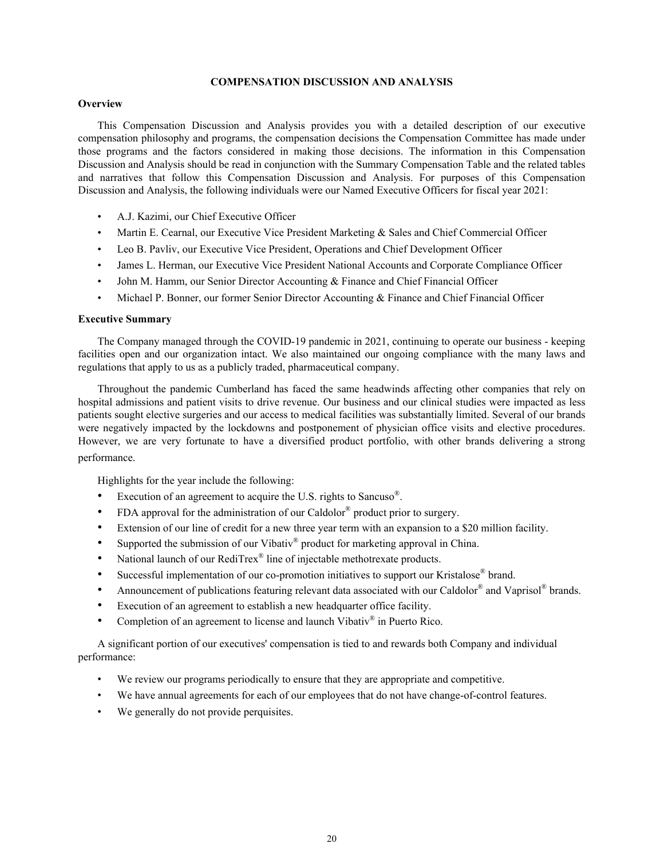# **COMPENSATION DISCUSSION AND ANALYSIS**

# **Overview**

This Compensation Discussion and Analysis provides you with a detailed description of our executive compensation philosophy and programs, the compensation decisions the Compensation Committee has made under those programs and the factors considered in making those decisions. The information in this Compensation Discussion and Analysis should be read in conjunction with the Summary Compensation Table and the related tables and narratives that follow this Compensation Discussion and Analysis. For purposes of this Compensation Discussion and Analysis, the following individuals were our Named Executive Officers for fiscal year 2021:

- A.J. Kazimi, our Chief Executive Officer
- Martin E. Cearnal, our Executive Vice President Marketing & Sales and Chief Commercial Officer
- Leo B. Pavliv, our Executive Vice President, Operations and Chief Development Officer
- James L. Herman, our Executive Vice President National Accounts and Corporate Compliance Officer
- John M. Hamm, our Senior Director Accounting & Finance and Chief Financial Officer
- Michael P. Bonner, our former Senior Director Accounting & Finance and Chief Financial Officer

#### **Executive Summary**

The Company managed through the COVID-19 pandemic in 2021, continuing to operate our business - keeping facilities open and our organization intact. We also maintained our ongoing compliance with the many laws and regulations that apply to us as a publicly traded, pharmaceutical company.

Throughout the pandemic Cumberland has faced the same headwinds affecting other companies that rely on hospital admissions and patient visits to drive revenue. Our business and our clinical studies were impacted as less patients sought elective surgeries and our access to medical facilities was substantially limited. Several of our brands were negatively impacted by the lockdowns and postponement of physician office visits and elective procedures. However, we are very fortunate to have a diversified product portfolio, with other brands delivering a strong performance.

Highlights for the year include the following:

- Execution of an agreement to acquire the U.S. rights to Sancuso<sup>®</sup>.
- FDA approval for the administration of our Caldolor® product prior to surgery.
- Extension of our line of credit for a new three year term with an expansion to a \$20 million facility.
- Supported the submission of our Vibativ® product for marketing approval in China.
- National launch of our RediTrex<sup>®</sup> line of injectable methotrexate products.
- Successful implementation of our co-promotion initiatives to support our Kristalose® brand.
- Announcement of publications featuring relevant data associated with our Caldolor® and Vaprisol® brands.
- Execution of an agreement to establish a new headquarter office facility.
- Completion of an agreement to license and launch Vibativ® in Puerto Rico.

A significant portion of our executives' compensation is tied to and rewards both Company and individual performance:

- We review our programs periodically to ensure that they are appropriate and competitive.
- We have annual agreements for each of our employees that do not have change-of-control features.
- We generally do not provide perquisites.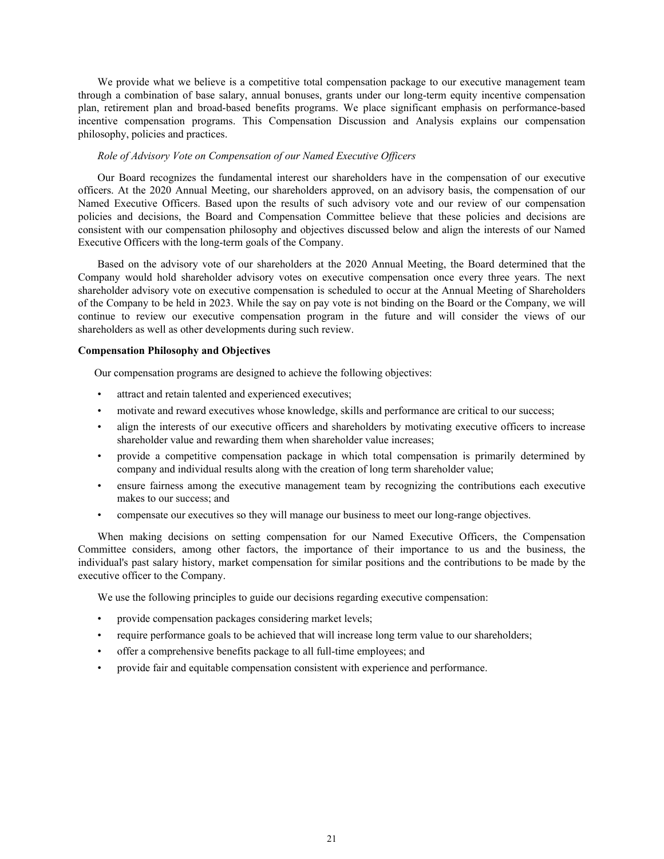We provide what we believe is a competitive total compensation package to our executive management team through a combination of base salary, annual bonuses, grants under our long-term equity incentive compensation plan, retirement plan and broad-based benefits programs. We place significant emphasis on performance-based incentive compensation programs. This Compensation Discussion and Analysis explains our compensation philosophy, policies and practices.

# *Role of Advisory Vote on Compensation of our Named Executive Officers*

Our Board recognizes the fundamental interest our shareholders have in the compensation of our executive officers. At the 2020 Annual Meeting, our shareholders approved, on an advisory basis, the compensation of our Named Executive Officers. Based upon the results of such advisory vote and our review of our compensation policies and decisions, the Board and Compensation Committee believe that these policies and decisions are consistent with our compensation philosophy and objectives discussed below and align the interests of our Named Executive Officers with the long-term goals of the Company.

Based on the advisory vote of our shareholders at the 2020 Annual Meeting, the Board determined that the Company would hold shareholder advisory votes on executive compensation once every three years. The next shareholder advisory vote on executive compensation is scheduled to occur at the Annual Meeting of Shareholders of the Company to be held in 2023. While the say on pay vote is not binding on the Board or the Company, we will continue to review our executive compensation program in the future and will consider the views of our shareholders as well as other developments during such review.

# **Compensation Philosophy and Objectives**

Our compensation programs are designed to achieve the following objectives:

- attract and retain talented and experienced executives;
- motivate and reward executives whose knowledge, skills and performance are critical to our success;
- align the interests of our executive officers and shareholders by motivating executive officers to increase shareholder value and rewarding them when shareholder value increases;
- provide a competitive compensation package in which total compensation is primarily determined by company and individual results along with the creation of long term shareholder value;
- ensure fairness among the executive management team by recognizing the contributions each executive makes to our success; and
- compensate our executives so they will manage our business to meet our long-range objectives.

When making decisions on setting compensation for our Named Executive Officers, the Compensation Committee considers, among other factors, the importance of their importance to us and the business, the individual's past salary history, market compensation for similar positions and the contributions to be made by the executive officer to the Company.

We use the following principles to guide our decisions regarding executive compensation:

- provide compensation packages considering market levels;
- require performance goals to be achieved that will increase long term value to our shareholders;
- offer a comprehensive benefits package to all full-time employees; and
- provide fair and equitable compensation consistent with experience and performance.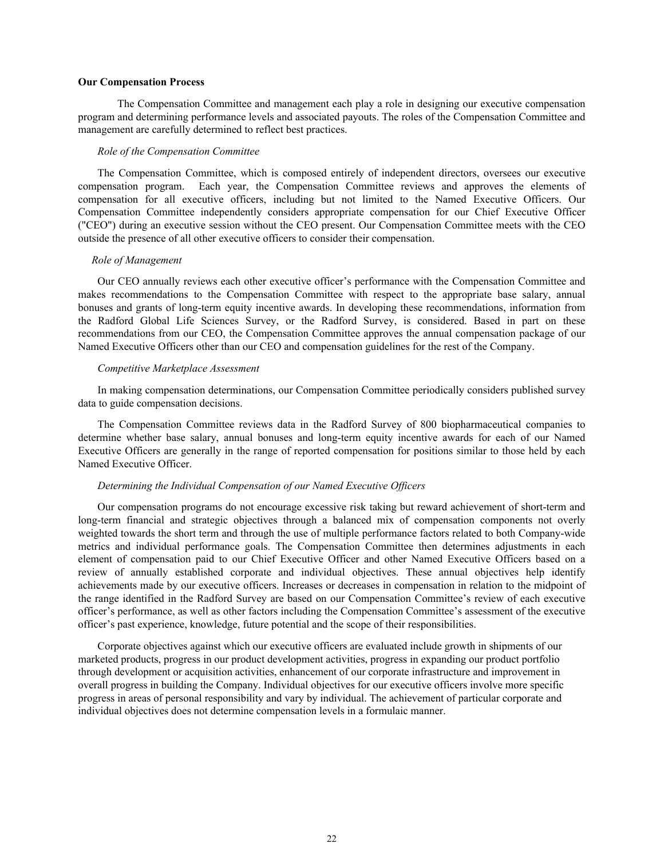#### **Our Compensation Process**

 The Compensation Committee and management each play a role in designing our executive compensation program and determining performance levels and associated payouts. The roles of the Compensation Committee and management are carefully determined to reflect best practices.

#### *Role of the Compensation Committee*

The Compensation Committee, which is composed entirely of independent directors, oversees our executive compensation program. Each year, the Compensation Committee reviews and approves the elements of compensation for all executive officers, including but not limited to the Named Executive Officers. Our Compensation Committee independently considers appropriate compensation for our Chief Executive Officer ("CEO") during an executive session without the CEO present. Our Compensation Committee meets with the CEO outside the presence of all other executive officers to consider their compensation.

#### *Role of Management*

Our CEO annually reviews each other executive officer's performance with the Compensation Committee and makes recommendations to the Compensation Committee with respect to the appropriate base salary, annual bonuses and grants of long-term equity incentive awards. In developing these recommendations, information from the Radford Global Life Sciences Survey, or the Radford Survey, is considered. Based in part on these recommendations from our CEO, the Compensation Committee approves the annual compensation package of our Named Executive Officers other than our CEO and compensation guidelines for the rest of the Company.

#### *Competitive Marketplace Assessment*

In making compensation determinations, our Compensation Committee periodically considers published survey data to guide compensation decisions.

The Compensation Committee reviews data in the Radford Survey of 800 biopharmaceutical companies to determine whether base salary, annual bonuses and long-term equity incentive awards for each of our Named Executive Officers are generally in the range of reported compensation for positions similar to those held by each Named Executive Officer.

# *Determining the Individual Compensation of our Named Executive Officers*

Our compensation programs do not encourage excessive risk taking but reward achievement of short-term and long-term financial and strategic objectives through a balanced mix of compensation components not overly weighted towards the short term and through the use of multiple performance factors related to both Company-wide metrics and individual performance goals. The Compensation Committee then determines adjustments in each element of compensation paid to our Chief Executive Officer and other Named Executive Officers based on a review of annually established corporate and individual objectives. These annual objectives help identify achievements made by our executive officers. Increases or decreases in compensation in relation to the midpoint of the range identified in the Radford Survey are based on our Compensation Committee's review of each executive officer's performance, as well as other factors including the Compensation Committee's assessment of the executive officer's past experience, knowledge, future potential and the scope of their responsibilities.

Corporate objectives against which our executive officers are evaluated include growth in shipments of our marketed products, progress in our product development activities, progress in expanding our product portfolio through development or acquisition activities, enhancement of our corporate infrastructure and improvement in overall progress in building the Company. Individual objectives for our executive officers involve more specific progress in areas of personal responsibility and vary by individual. The achievement of particular corporate and individual objectives does not determine compensation levels in a formulaic manner.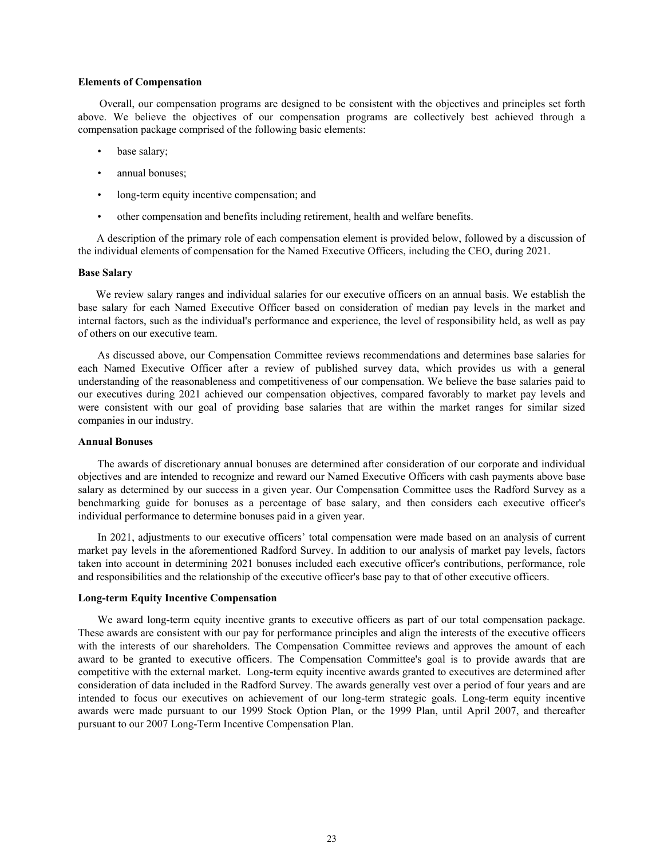#### **Elements of Compensation**

 Overall, our compensation programs are designed to be consistent with the objectives and principles set forth above. We believe the objectives of our compensation programs are collectively best achieved through a compensation package comprised of the following basic elements:

- base salary;
- annual bonuses;
- long-term equity incentive compensation; and
- other compensation and benefits including retirement, health and welfare benefits.

 A description of the primary role of each compensation element is provided below, followed by a discussion of the individual elements of compensation for the Named Executive Officers, including the CEO, during 2021.

#### **Base Salary**

 We review salary ranges and individual salaries for our executive officers on an annual basis. We establish the base salary for each Named Executive Officer based on consideration of median pay levels in the market and internal factors, such as the individual's performance and experience, the level of responsibility held, as well as pay of others on our executive team.

As discussed above, our Compensation Committee reviews recommendations and determines base salaries for each Named Executive Officer after a review of published survey data, which provides us with a general understanding of the reasonableness and competitiveness of our compensation. We believe the base salaries paid to our executives during 2021 achieved our compensation objectives, compared favorably to market pay levels and were consistent with our goal of providing base salaries that are within the market ranges for similar sized companies in our industry.

# **Annual Bonuses**

The awards of discretionary annual bonuses are determined after consideration of our corporate and individual objectives and are intended to recognize and reward our Named Executive Officers with cash payments above base salary as determined by our success in a given year. Our Compensation Committee uses the Radford Survey as a benchmarking guide for bonuses as a percentage of base salary, and then considers each executive officer's individual performance to determine bonuses paid in a given year.

In 2021, adjustments to our executive officers' total compensation were made based on an analysis of current market pay levels in the aforementioned Radford Survey. In addition to our analysis of market pay levels, factors taken into account in determining 2021 bonuses included each executive officer's contributions, performance, role and responsibilities and the relationship of the executive officer's base pay to that of other executive officers.

#### **Long-term Equity Incentive Compensation**

We award long-term equity incentive grants to executive officers as part of our total compensation package. These awards are consistent with our pay for performance principles and align the interests of the executive officers with the interests of our shareholders. The Compensation Committee reviews and approves the amount of each award to be granted to executive officers. The Compensation Committee's goal is to provide awards that are competitive with the external market. Long-term equity incentive awards granted to executives are determined after consideration of data included in the Radford Survey. The awards generally vest over a period of four years and are intended to focus our executives on achievement of our long-term strategic goals. Long-term equity incentive awards were made pursuant to our 1999 Stock Option Plan, or the 1999 Plan, until April 2007, and thereafter pursuant to our 2007 Long-Term Incentive Compensation Plan.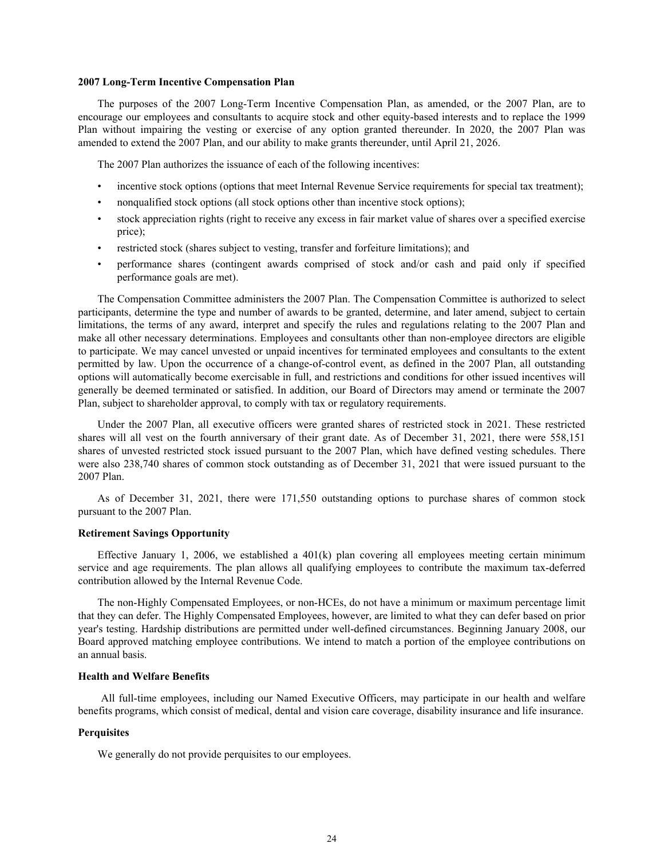#### **2007 Long-Term Incentive Compensation Plan**

The purposes of the 2007 Long-Term Incentive Compensation Plan, as amended, or the 2007 Plan, are to encourage our employees and consultants to acquire stock and other equity-based interests and to replace the 1999 Plan without impairing the vesting or exercise of any option granted thereunder. In 2020, the 2007 Plan was amended to extend the 2007 Plan, and our ability to make grants thereunder, until April 21, 2026.

The 2007 Plan authorizes the issuance of each of the following incentives:

- incentive stock options (options that meet Internal Revenue Service requirements for special tax treatment);
- nonqualified stock options (all stock options other than incentive stock options);
- stock appreciation rights (right to receive any excess in fair market value of shares over a specified exercise price);
- restricted stock (shares subject to vesting, transfer and forfeiture limitations); and
- performance shares (contingent awards comprised of stock and/or cash and paid only if specified performance goals are met).

The Compensation Committee administers the 2007 Plan. The Compensation Committee is authorized to select participants, determine the type and number of awards to be granted, determine, and later amend, subject to certain limitations, the terms of any award, interpret and specify the rules and regulations relating to the 2007 Plan and make all other necessary determinations. Employees and consultants other than non-employee directors are eligible to participate. We may cancel unvested or unpaid incentives for terminated employees and consultants to the extent permitted by law. Upon the occurrence of a change-of-control event, as defined in the 2007 Plan, all outstanding options will automatically become exercisable in full, and restrictions and conditions for other issued incentives will generally be deemed terminated or satisfied. In addition, our Board of Directors may amend or terminate the 2007 Plan, subject to shareholder approval, to comply with tax or regulatory requirements.

Under the 2007 Plan, all executive officers were granted shares of restricted stock in 2021. These restricted shares will all vest on the fourth anniversary of their grant date. As of December 31, 2021, there were 558,151 shares of unvested restricted stock issued pursuant to the 2007 Plan, which have defined vesting schedules. There were also 238,740 shares of common stock outstanding as of December 31, 2021 that were issued pursuant to the 2007 Plan.

As of December 31, 2021, there were 171,550 outstanding options to purchase shares of common stock pursuant to the 2007 Plan.

#### **Retirement Savings Opportunity**

Effective January 1, 2006, we established a  $401(k)$  plan covering all employees meeting certain minimum service and age requirements. The plan allows all qualifying employees to contribute the maximum tax-deferred contribution allowed by the Internal Revenue Code.

The non-Highly Compensated Employees, or non-HCEs, do not have a minimum or maximum percentage limit that they can defer. The Highly Compensated Employees, however, are limited to what they can defer based on prior year's testing. Hardship distributions are permitted under well-defined circumstances. Beginning January 2008, our Board approved matching employee contributions. We intend to match a portion of the employee contributions on an annual basis.

### **Health and Welfare Benefits**

 All full-time employees, including our Named Executive Officers, may participate in our health and welfare benefits programs, which consist of medical, dental and vision care coverage, disability insurance and life insurance.

#### **Perquisites**

We generally do not provide perquisites to our employees.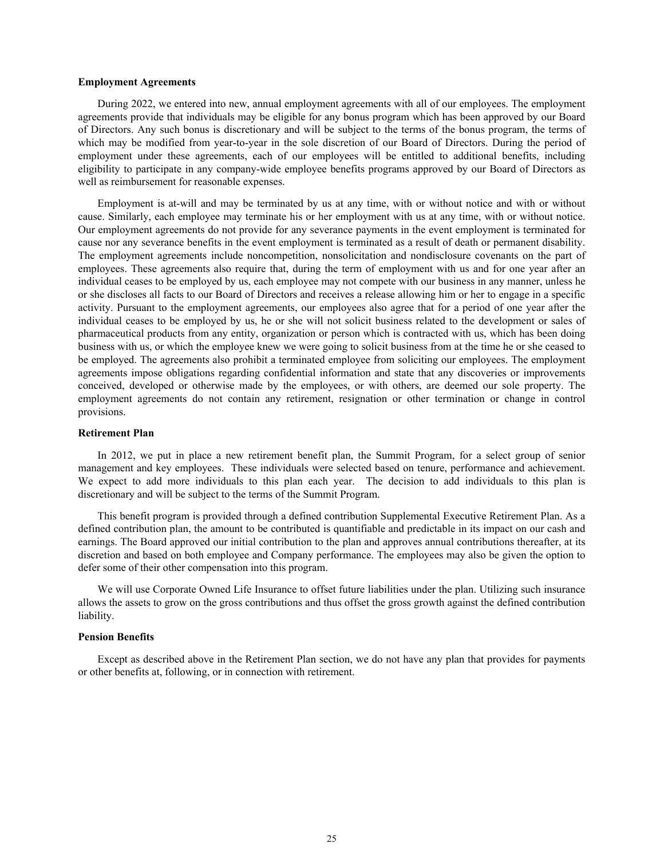#### **Employment Agreements**

During 2022, we entered into new, annual employment agreements with all of our employees. The employment agreements provide that individuals may be eligible for any bonus program which has been approved by our Board of Directors. Any such bonus is discretionary and will be subject to the terms of the bonus program, the terms of which may be modified from year-to-year in the sole discretion of our Board of Directors. During the period of employment under these agreements, each of our employees will be entitled to additional benefits, including eligibility to participate in any company-wide employee benefits programs approved by our Board of Directors as well as reimbursement for reasonable expenses.

Employment is at-will and may be terminated by us at any time, with or without notice and with or without cause. Similarly, each employee may terminate his or her employment with us at any time, with or without notice. Our employment agreements do not provide for any severance payments in the event employment is terminated for cause nor any severance benefits in the event employment is terminated as a result of death or permanent disability. The employment agreements include noncompetition, nonsolicitation and nondisclosure covenants on the part of employees. These agreements also require that, during the term of employment with us and for one year after an individual ceases to be employed by us, each employee may not compete with our business in any manner, unless he or she discloses all facts to our Board of Directors and receives a release allowing him or her to engage in a specific activity. Pursuant to the employment agreements, our employees also agree that for a period of one year after the individual ceases to be employed by us, he or she will not solicit business related to the development or sales of pharmaceutical products from any entity, organization or person which is contracted with us, which has been doing business with us, or which the employee knew we were going to solicit business from at the time he or she ceased to be employed. The agreements also prohibit a terminated employee from soliciting our employees. The employment agreements impose obligations regarding confidential information and state that any discoveries or improvements conceived, developed or otherwise made by the employees, or with others, are deemed our sole property. The employment agreements do not contain any retirement, resignation or other termination or change in control provisions.

#### **Retirement Plan**

In 2012, we put in place a new retirement benefit plan, the Summit Program, for a select group of senior management and key employees. These individuals were selected based on tenure, performance and achievement. We expect to add more individuals to this plan each year. The decision to add individuals to this plan is discretionary and will be subject to the terms of the Summit Program.

This benefit program is provided through a defined contribution Supplemental Executive Retirement Plan. As a defined contribution plan, the amount to be contributed is quantifiable and predictable in its impact on our cash and earnings. The Board approved our initial contribution to the plan and approves annual contributions thereafter, at its discretion and based on both employee and Company performance. The employees may also be given the option to defer some of their other compensation into this program.

We will use Corporate Owned Life Insurance to offset future liabilities under the plan. Utilizing such insurance allows the assets to grow on the gross contributions and thus offset the gross growth against the defined contribution liability.

#### **Pension Benefits**

Except as described above in the Retirement Plan section, we do not have any plan that provides for payments or other benefits at, following, or in connection with retirement.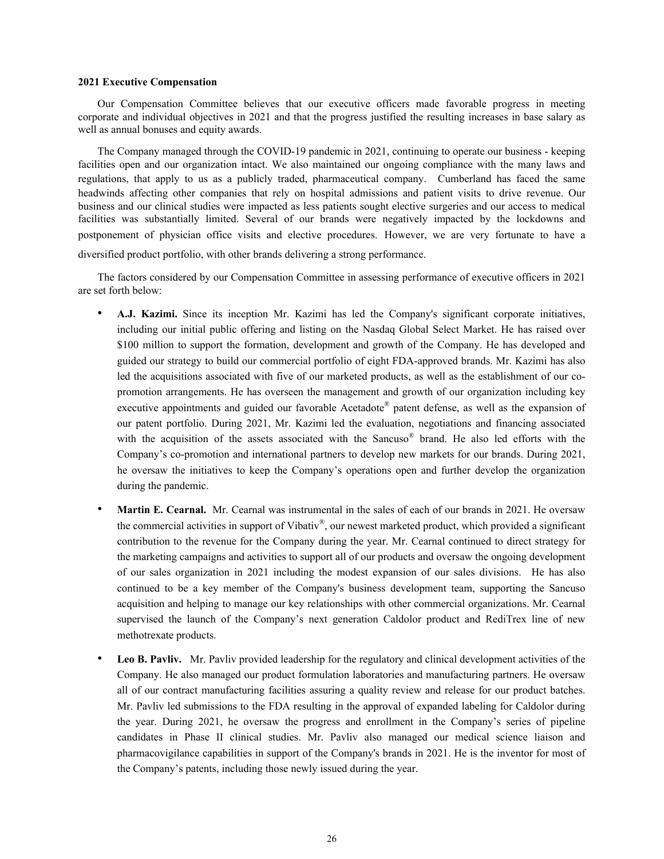#### **2021 Executive Compensation**

Our Compensation Committee believes that our executive officers made favorable progress in meeting corporate and individual objectives in 2021 and that the progress justified the resulting increases in base salary as well as annual bonuses and equity awards.

The Company managed through the COVID-19 pandemic in 2021, continuing to operate our business - keeping facilities open and our organization intact. We also maintained our ongoing compliance with the many laws and regulations, that apply to us as a publicly traded, pharmaceutical company. Cumberland has faced the same headwinds affecting other companies that rely on hospital admissions and patient visits to drive revenue. Our business and our clinical studies were impacted as less patients sought elective surgeries and our access to medical facilities was substantially limited. Several of our brands were negatively impacted by the lockdowns and postponement of physician office visits and elective procedures. However, we are very fortunate to have a

diversified product portfolio, with other brands delivering a strong performance.

The factors considered by our Compensation Committee in assessing performance of executive officers in 2021 are set forth below:

- **A.J. Kazimi.** Since its inception Mr. Kazimi has led the Company's significant corporate initiatives, including our initial public offering and listing on the Nasdaq Global Select Market. He has raised over \$100 million to support the formation, development and growth of the Company. He has developed and guided our strategy to build our commercial portfolio of eight FDA-approved brands. Mr. Kazimi has also led the acquisitions associated with five of our marketed products, as well as the establishment of our copromotion arrangements. He has overseen the management and growth of our organization including key executive appointments and guided our favorable Acetadote® patent defense, as well as the expansion of our patent portfolio. During 2021, Mr. Kazimi led the evaluation, negotiations and financing associated with the acquisition of the assets associated with the Sancuso® brand. He also led efforts with the Company's co-promotion and international partners to develop new markets for our brands. During 2021, he oversaw the initiatives to keep the Company's operations open and further develop the organization during the pandemic.
- **Martin E. Cearnal.** Mr. Cearnal was instrumental in the sales of each of our brands in 2021. He oversaw the commercial activities in support of Vibativ®, our newest marketed product, which provided a significant contribution to the revenue for the Company during the year. Mr. Cearnal continued to direct strategy for the marketing campaigns and activities to support all of our products and oversaw the ongoing development of our sales organization in 2021 including the modest expansion of our sales divisions. He has also continued to be a key member of the Company's business development team, supporting the Sancuso acquisition and helping to manage our key relationships with other commercial organizations. Mr. Cearnal supervised the launch of the Company's next generation Caldolor product and RediTrex line of new methotrexate products.
- **Leo B. Pavliv.** Mr. Pavliv provided leadership for the regulatory and clinical development activities of the Company. He also managed our product formulation laboratories and manufacturing partners. He oversaw all of our contract manufacturing facilities assuring a quality review and release for our product batches. Mr. Pavliv led submissions to the FDA resulting in the approval of expanded labeling for Caldolor during the year. During 2021, he oversaw the progress and enrollment in the Company's series of pipeline candidates in Phase II clinical studies. Mr. Pavliv also managed our medical science liaison and pharmacovigilance capabilities in support of the Company's brands in 2021. He is the inventor for most of the Company's patents, including those newly issued during the year.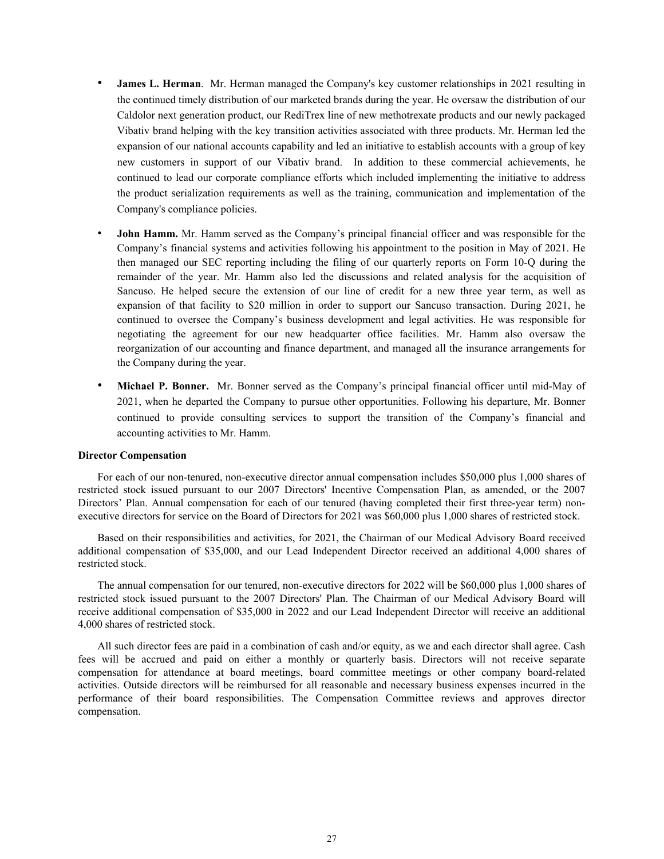- **James L. Herman**. Mr. Herman managed the Company's key customer relationships in 2021 resulting in the continued timely distribution of our marketed brands during the year. He oversaw the distribution of our Caldolor next generation product, our RediTrex line of new methotrexate products and our newly packaged Vibativ brand helping with the key transition activities associated with three products. Mr. Herman led the expansion of our national accounts capability and led an initiative to establish accounts with a group of key new customers in support of our Vibativ brand. In addition to these commercial achievements, he continued to lead our corporate compliance efforts which included implementing the initiative to address the product serialization requirements as well as the training, communication and implementation of the Company's compliance policies.
- **John Hamm.** Mr. Hamm served as the Company's principal financial officer and was responsible for the Company's financial systems and activities following his appointment to the position in May of 2021. He then managed our SEC reporting including the filing of our quarterly reports on Form 10-Q during the remainder of the year. Mr. Hamm also led the discussions and related analysis for the acquisition of Sancuso. He helped secure the extension of our line of credit for a new three year term, as well as expansion of that facility to \$20 million in order to support our Sancuso transaction. During 2021, he continued to oversee the Company's business development and legal activities. He was responsible for negotiating the agreement for our new headquarter office facilities. Mr. Hamm also oversaw the reorganization of our accounting and finance department, and managed all the insurance arrangements for the Company during the year.
- **Michael P. Bonner.** Mr. Bonner served as the Company's principal financial officer until mid-May of 2021, when he departed the Company to pursue other opportunities. Following his departure, Mr. Bonner continued to provide consulting services to support the transition of the Company's financial and accounting activities to Mr. Hamm.

#### **Director Compensation**

For each of our non-tenured, non-executive director annual compensation includes \$50,000 plus 1,000 shares of restricted stock issued pursuant to our 2007 Directors' Incentive Compensation Plan, as amended, or the 2007 Directors' Plan. Annual compensation for each of our tenured (having completed their first three-year term) nonexecutive directors for service on the Board of Directors for 2021 was \$60,000 plus 1,000 shares of restricted stock.

Based on their responsibilities and activities, for 2021, the Chairman of our Medical Advisory Board received additional compensation of \$35,000, and our Lead Independent Director received an additional 4,000 shares of restricted stock.

The annual compensation for our tenured, non-executive directors for 2022 will be \$60,000 plus 1,000 shares of restricted stock issued pursuant to the 2007 Directors' Plan. The Chairman of our Medical Advisory Board will receive additional compensation of \$35,000 in 2022 and our Lead Independent Director will receive an additional 4,000 shares of restricted stock.

All such director fees are paid in a combination of cash and/or equity, as we and each director shall agree. Cash fees will be accrued and paid on either a monthly or quarterly basis. Directors will not receive separate compensation for attendance at board meetings, board committee meetings or other company board-related activities. Outside directors will be reimbursed for all reasonable and necessary business expenses incurred in the performance of their board responsibilities. The Compensation Committee reviews and approves director compensation.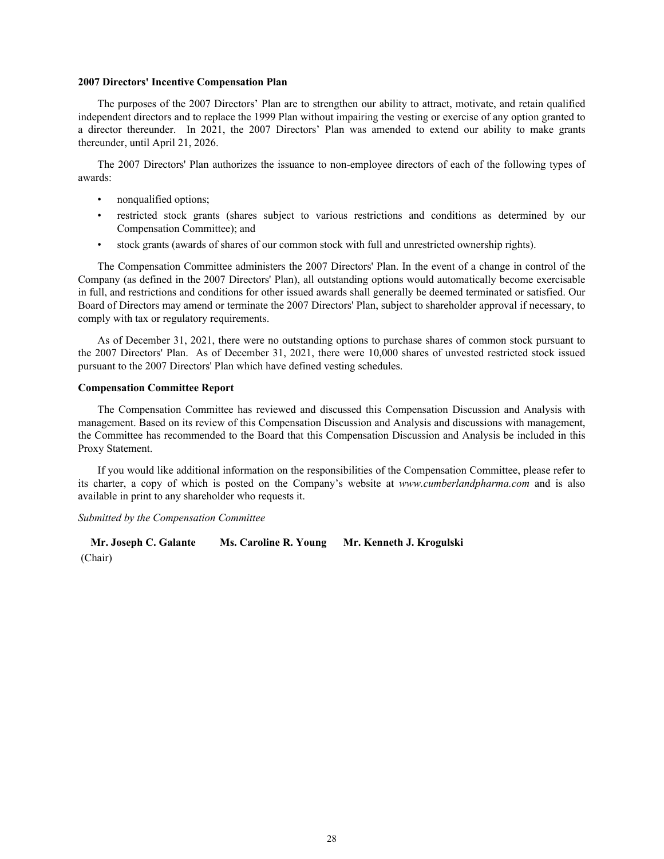#### **2007 Directors' Incentive Compensation Plan**

The purposes of the 2007 Directors' Plan are to strengthen our ability to attract, motivate, and retain qualified independent directors and to replace the 1999 Plan without impairing the vesting or exercise of any option granted to a director thereunder. In 2021, the 2007 Directors' Plan was amended to extend our ability to make grants thereunder, until April 21, 2026.

The 2007 Directors' Plan authorizes the issuance to non-employee directors of each of the following types of awards:

- nonqualified options;
- restricted stock grants (shares subject to various restrictions and conditions as determined by our Compensation Committee); and
- stock grants (awards of shares of our common stock with full and unrestricted ownership rights).

The Compensation Committee administers the 2007 Directors' Plan. In the event of a change in control of the Company (as defined in the 2007 Directors' Plan), all outstanding options would automatically become exercisable in full, and restrictions and conditions for other issued awards shall generally be deemed terminated or satisfied. Our Board of Directors may amend or terminate the 2007 Directors' Plan, subject to shareholder approval if necessary, to comply with tax or regulatory requirements.

As of December 31, 2021, there were no outstanding options to purchase shares of common stock pursuant to the 2007 Directors' Plan. As of December 31, 2021, there were 10,000 shares of unvested restricted stock issued pursuant to the 2007 Directors' Plan which have defined vesting schedules.

#### **Compensation Committee Report**

The Compensation Committee has reviewed and discussed this Compensation Discussion and Analysis with management. Based on its review of this Compensation Discussion and Analysis and discussions with management, the Committee has recommended to the Board that this Compensation Discussion and Analysis be included in this Proxy Statement.

If you would like additional information on the responsibilities of the Compensation Committee, please refer to its charter, a copy of which is posted on the Company's website at *www.cumberlandpharma.com* and is also available in print to any shareholder who requests it.

# *Submitted by the Compensation Committee*

**Mr. Joseph C. Galante Ms. Caroline R. Young Mr. Kenneth J. Krogulski** (Chair)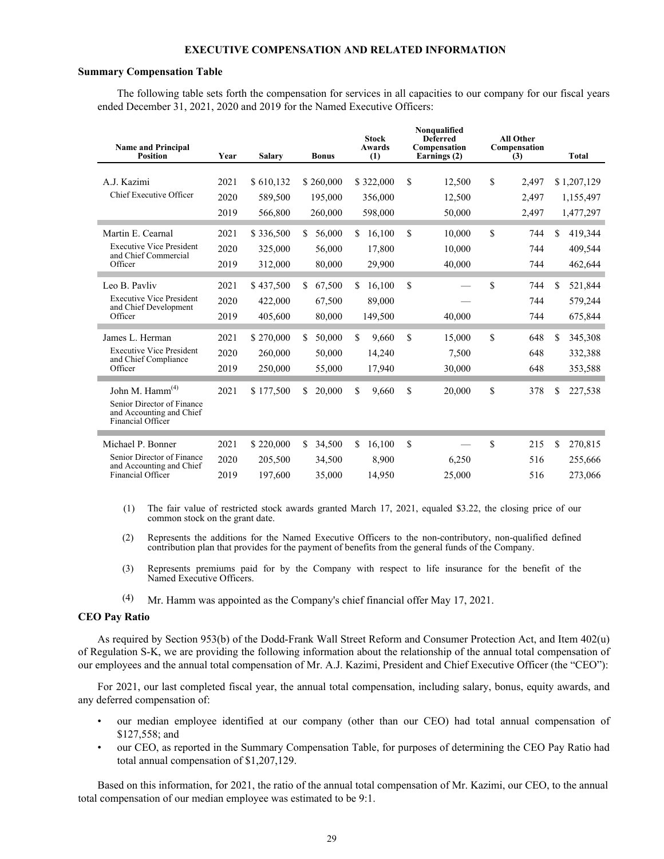#### **EXECUTIVE COMPENSATION AND RELATED INFORMATION**

#### **Summary Compensation Table**

The following table sets forth the compensation for services in all capacities to our company for our fiscal years ended December 31, 2021, 2020 and 2019 for the Named Executive Officers:

| <b>Name and Principal</b><br><b>Position</b>                                                               | Year                 | <b>Salary</b>                   | <b>Bonus</b>                      | <b>Stock</b><br><b>Awards</b><br>(1) | Nonqualified<br><b>Deferred</b><br>Compensation<br>Earnings (2) | <b>All Other</b><br>Compensation<br>(3) | <b>Total</b>                          |
|------------------------------------------------------------------------------------------------------------|----------------------|---------------------------------|-----------------------------------|--------------------------------------|-----------------------------------------------------------------|-----------------------------------------|---------------------------------------|
| A.J. Kazimi<br>Chief Executive Officer                                                                     | 2021<br>2020<br>2019 | \$610,132<br>589,500<br>566,800 | \$260,000<br>195,000<br>260,000   | \$322,000<br>356,000<br>598,000      | \$<br>12,500<br>12,500<br>50,000                                | \$<br>2,497<br>2,497<br>2,497           | \$1,207,129<br>1,155,497<br>1,477,297 |
| Martin E. Cearnal<br><b>Executive Vice President</b><br>and Chief Commercial<br>Officer                    | 2021<br>2020<br>2019 | \$336,500<br>325,000<br>312,000 | 56,000<br>\$.<br>56,000<br>80,000 | 16,100<br>\$.<br>17,800<br>29,900    | \$<br>10,000<br>10,000<br>40,000                                | \$<br>744<br>744<br>744                 | 419,344<br>\$.<br>409,544<br>462,644  |
| Leo B. Pavliv<br><b>Executive Vice President</b><br>and Chief Development<br>Officer                       | 2021<br>2020<br>2019 | \$437,500<br>422,000<br>405,600 | 67,500<br>\$<br>67,500<br>80,000  | 16,100<br>\$<br>89,000<br>149,500    | \$<br>40,000                                                    | \$<br>744<br>744<br>744                 | 521,844<br>\$<br>579,244<br>675,844   |
| James L. Herman<br><b>Executive Vice President</b><br>and Chief Compliance<br>Officer                      | 2021<br>2020<br>2019 | \$270,000<br>260,000<br>250,000 | 50,000<br>\$.<br>50,000<br>55,000 | \$<br>9,660<br>14,240<br>17,940      | \$<br>15,000<br>7,500<br>30,000                                 | \$<br>648<br>648<br>648                 | 345,308<br>\$.<br>332,388<br>353,588  |
| John M. Hamm <sup>(4)</sup><br>Senior Director of Finance<br>and Accounting and Chief<br>Financial Officer | 2021                 | \$177,500                       | 20,000<br>\$.                     | \$<br>9,660                          | \$<br>20,000                                                    | \$<br>378                               | 227,538<br>\$                         |
| Michael P. Bonner<br>Senior Director of Finance<br>and Accounting and Chief<br>Financial Officer           | 2021<br>2020<br>2019 | \$220,000<br>205,500<br>197.600 | \$.<br>34,500<br>34,500<br>35,000 | \$<br>16.100<br>8,900<br>14.950      | \$<br>6,250<br>25,000                                           | \$<br>215<br>516<br>516                 | \$.<br>270,815<br>255,666<br>273,066  |

(1) The fair value of restricted stock awards granted March 17, 2021, equaled \$3.22, the closing price of our common stock on the grant date.

(2) Represents the additions for the Named Executive Officers to the non-contributory, non-qualified defined contribution plan that provides for the payment of benefits from the general funds of the Company.

- (3) Represents premiums paid for by the Company with respect to life insurance for the benefit of the Named Executive Officers.
- (4) Mr. Hamm was appointed as the Company's chief financial offer May 17, 2021.

#### **CEO Pay Ratio**

As required by Section 953(b) of the Dodd-Frank Wall Street Reform and Consumer Protection Act, and Item 402(u) of Regulation S-K, we are providing the following information about the relationship of the annual total compensation of our employees and the annual total compensation of Mr. A.J. Kazimi, President and Chief Executive Officer (the "CEO"):

For 2021, our last completed fiscal year, the annual total compensation, including salary, bonus, equity awards, and any deferred compensation of:

- our median employee identified at our company (other than our CEO) had total annual compensation of \$127,558; and
- our CEO, as reported in the Summary Compensation Table, for purposes of determining the CEO Pay Ratio had total annual compensation of \$1,207,129.

Based on this information, for 2021, the ratio of the annual total compensation of Mr. Kazimi, our CEO, to the annual total compensation of our median employee was estimated to be 9:1.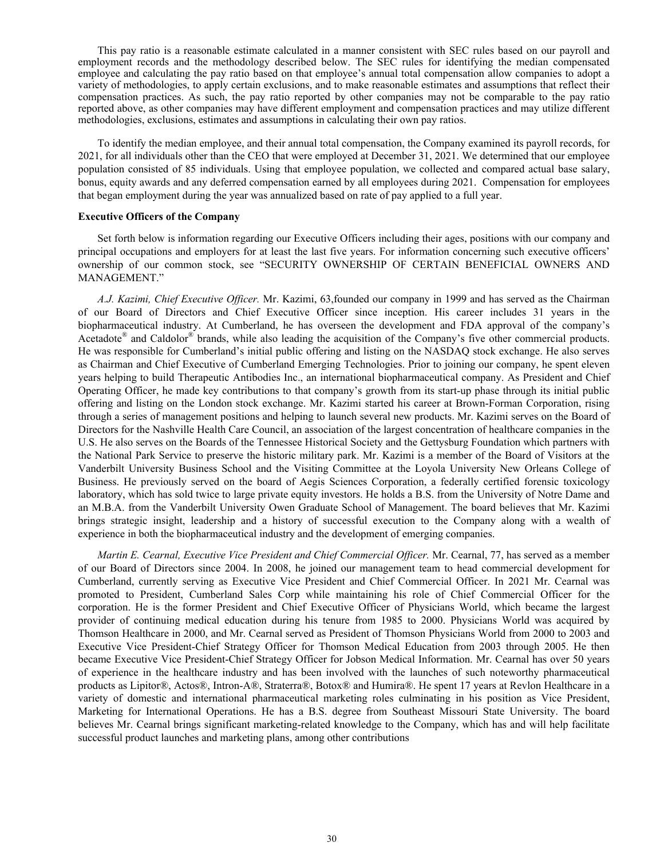This pay ratio is a reasonable estimate calculated in a manner consistent with SEC rules based on our payroll and employment records and the methodology described below. The SEC rules for identifying the median compensated employee and calculating the pay ratio based on that employee's annual total compensation allow companies to adopt a variety of methodologies, to apply certain exclusions, and to make reasonable estimates and assumptions that reflect their compensation practices. As such, the pay ratio reported by other companies may not be comparable to the pay ratio reported above, as other companies may have different employment and compensation practices and may utilize different methodologies, exclusions, estimates and assumptions in calculating their own pay ratios.

To identify the median employee, and their annual total compensation, the Company examined its payroll records, for 2021, for all individuals other than the CEO that were employed at December 31, 2021. We determined that our employee population consisted of 85 individuals. Using that employee population, we collected and compared actual base salary, bonus, equity awards and any deferred compensation earned by all employees during 2021. Compensation for employees that began employment during the year was annualized based on rate of pay applied to a full year.

#### **Executive Officers of the Company**

Set forth below is information regarding our Executive Officers including their ages, positions with our company and principal occupations and employers for at least the last five years. For information concerning such executive officers' ownership of our common stock, see "SECURITY OWNERSHIP OF CERTAIN BENEFICIAL OWNERS AND MANAGEMENT."

*A.J. Kazimi, Chief Executive Officer.* Mr. Kazimi, 63,founded our company in 1999 and has served as the Chairman of our Board of Directors and Chief Executive Officer since inception. His career includes 31 years in the biopharmaceutical industry. At Cumberland, he has overseen the development and FDA approval of the company's Acetadote<sup>®</sup> and Caldolor<sup>®</sup> brands, while also leading the acquisition of the Company's five other commercial products. He was responsible for Cumberland's initial public offering and listing on the NASDAQ stock exchange. He also serves as Chairman and Chief Executive of Cumberland Emerging Technologies. Prior to joining our company, he spent eleven years helping to build Therapeutic Antibodies Inc., an international biopharmaceutical company. As President and Chief Operating Officer, he made key contributions to that company's growth from its start-up phase through its initial public offering and listing on the London stock exchange. Mr. Kazimi started his career at Brown-Forman Corporation, rising through a series of management positions and helping to launch several new products. Mr. Kazimi serves on the Board of Directors for the Nashville Health Care Council, an association of the largest concentration of healthcare companies in the U.S. He also serves on the Boards of the Tennessee Historical Society and the Gettysburg Foundation which partners with the National Park Service to preserve the historic military park. Mr. Kazimi is a member of the Board of Visitors at the Vanderbilt University Business School and the Visiting Committee at the Loyola University New Orleans College of Business. He previously served on the board of Aegis Sciences Corporation, a federally certified forensic toxicology laboratory, which has sold twice to large private equity investors. He holds a B.S. from the University of Notre Dame and an M.B.A. from the Vanderbilt University Owen Graduate School of Management. The board believes that Mr. Kazimi brings strategic insight, leadership and a history of successful execution to the Company along with a wealth of experience in both the biopharmaceutical industry and the development of emerging companies.

*Martin E. Cearnal, Executive Vice President and Chief Commercial Officer.* Mr. Cearnal, 77, has served as a member of our Board of Directors since 2004. In 2008, he joined our management team to head commercial development for Cumberland, currently serving as Executive Vice President and Chief Commercial Officer. In 2021 Mr. Cearnal was promoted to President, Cumberland Sales Corp while maintaining his role of Chief Commercial Officer for the corporation. He is the former President and Chief Executive Officer of Physicians World, which became the largest provider of continuing medical education during his tenure from 1985 to 2000. Physicians World was acquired by Thomson Healthcare in 2000, and Mr. Cearnal served as President of Thomson Physicians World from 2000 to 2003 and Executive Vice President-Chief Strategy Officer for Thomson Medical Education from 2003 through 2005. He then became Executive Vice President-Chief Strategy Officer for Jobson Medical Information. Mr. Cearnal has over 50 years of experience in the healthcare industry and has been involved with the launches of such noteworthy pharmaceutical products as Lipitor®, Actos®, Intron-A®, Straterra®, Botox® and Humira®. He spent 17 years at Revlon Healthcare in a variety of domestic and international pharmaceutical marketing roles culminating in his position as Vice President, Marketing for International Operations. He has a B.S. degree from Southeast Missouri State University. The board believes Mr. Cearnal brings significant marketing-related knowledge to the Company, which has and will help facilitate successful product launches and marketing plans, among other contributions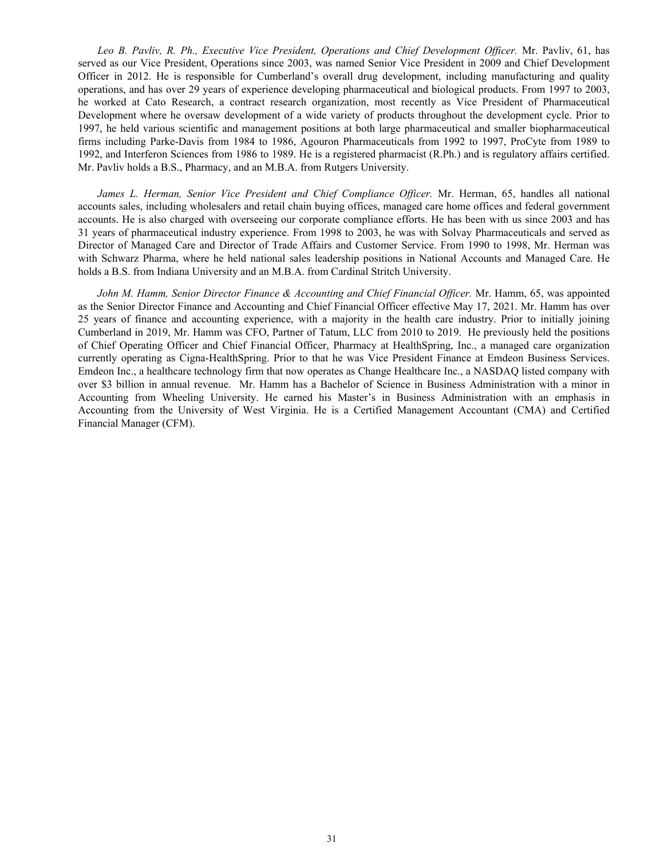*Leo B. Pavliv, R. Ph., Executive Vice President, Operations and Chief Development Officer.* Mr. Pavliv, 61, has served as our Vice President, Operations since 2003, was named Senior Vice President in 2009 and Chief Development Officer in 2012. He is responsible for Cumberland's overall drug development, including manufacturing and quality operations, and has over 29 years of experience developing pharmaceutical and biological products. From 1997 to 2003, he worked at Cato Research, a contract research organization, most recently as Vice President of Pharmaceutical Development where he oversaw development of a wide variety of products throughout the development cycle. Prior to 1997, he held various scientific and management positions at both large pharmaceutical and smaller biopharmaceutical firms including Parke-Davis from 1984 to 1986, Agouron Pharmaceuticals from 1992 to 1997, ProCyte from 1989 to 1992, and Interferon Sciences from 1986 to 1989. He is a registered pharmacist (R.Ph.) and is regulatory affairs certified. Mr. Pavliv holds a B.S., Pharmacy, and an M.B.A. from Rutgers University.

*James L. Herman, Senior Vice President and Chief Compliance Officer.* Mr. Herman, 65, handles all national accounts sales, including wholesalers and retail chain buying offices, managed care home offices and federal government accounts. He is also charged with overseeing our corporate compliance efforts. He has been with us since 2003 and has 31 years of pharmaceutical industry experience. From 1998 to 2003, he was with Solvay Pharmaceuticals and served as Director of Managed Care and Director of Trade Affairs and Customer Service. From 1990 to 1998, Mr. Herman was with Schwarz Pharma, where he held national sales leadership positions in National Accounts and Managed Care. He holds a B.S. from Indiana University and an M.B.A. from Cardinal Stritch University.

*John M. Hamm, Senior Director Finance & Accounting and Chief Financial Officer.* Mr. Hamm, 65, was appointed as the Senior Director Finance and Accounting and Chief Financial Officer effective May 17, 2021. Mr. Hamm has over 25 years of finance and accounting experience, with a majority in the health care industry. Prior to initially joining Cumberland in 2019, Mr. Hamm was CFO, Partner of Tatum, LLC from 2010 to 2019. He previously held the positions of Chief Operating Officer and Chief Financial Officer, Pharmacy at HealthSpring, Inc., a managed care organization currently operating as Cigna-HealthSpring. Prior to that he was Vice President Finance at Emdeon Business Services. Emdeon Inc., a healthcare technology firm that now operates as Change Healthcare Inc., a NASDAQ listed company with over \$3 billion in annual revenue. Mr. Hamm has a Bachelor of Science in Business Administration with a minor in Accounting from Wheeling University. He earned his Master's in Business Administration with an emphasis in Accounting from the University of West Virginia. He is a Certified Management Accountant (CMA) and Certified Financial Manager (CFM).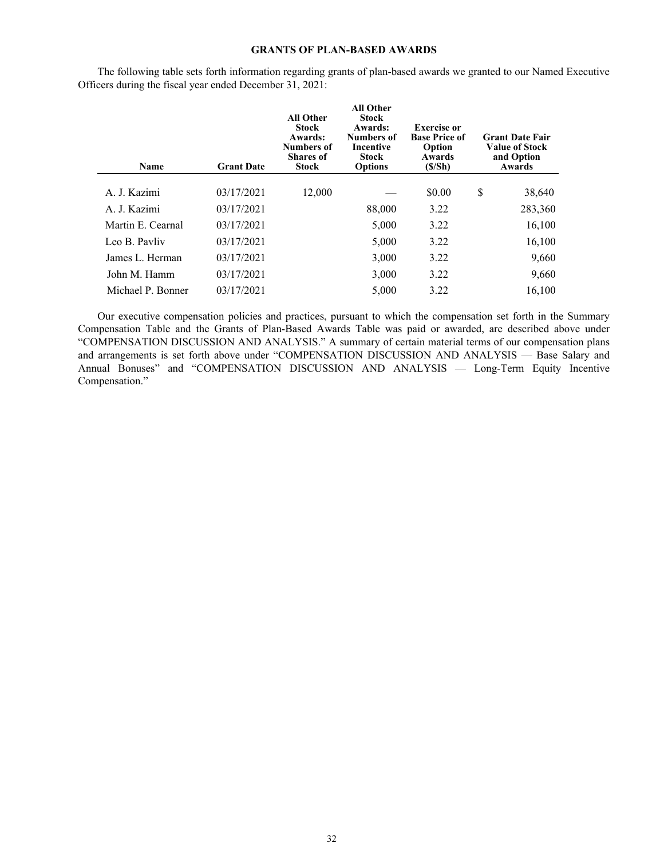# **GRANTS OF PLAN-BASED AWARDS**

| Name              | <b>Grant Date</b> | <b>All Other</b><br><b>Stock</b><br>Awards:<br>Numbers of<br><b>Shares</b> of<br><b>Stock</b> | <b>All Other</b><br>Stock<br>Awards:<br><b>Numbers of</b><br>Incentive<br><b>Stock</b><br><b>Options</b> | Exercise or<br><b>Base Price of</b><br>Option<br>Awards<br>(S/Sh) | <b>Grant Date Fair</b><br><b>Value of Stock</b><br>and Option<br>Awards |
|-------------------|-------------------|-----------------------------------------------------------------------------------------------|----------------------------------------------------------------------------------------------------------|-------------------------------------------------------------------|-------------------------------------------------------------------------|
| A. J. Kazimi      | 03/17/2021        | 12,000                                                                                        |                                                                                                          | \$0.00                                                            | \$<br>38,640                                                            |
| A. J. Kazimi      | 03/17/2021        |                                                                                               | 88,000                                                                                                   | 3.22                                                              | 283,360                                                                 |
| Martin E. Cearnal | 03/17/2021        |                                                                                               | 5,000                                                                                                    | 3.22                                                              | 16,100                                                                  |
| Leo B. Pavliv     | 03/17/2021        |                                                                                               | 5,000                                                                                                    | 3.22                                                              | 16,100                                                                  |
| James L. Herman   | 03/17/2021        |                                                                                               | 3,000                                                                                                    | 3.22                                                              | 9,660                                                                   |
| John M. Hamm      | 03/17/2021        |                                                                                               | 3,000                                                                                                    | 3.22                                                              | 9,660                                                                   |
| Michael P. Bonner | 03/17/2021        |                                                                                               | 5,000                                                                                                    | 3.22                                                              | 16,100                                                                  |

The following table sets forth information regarding grants of plan-based awards we granted to our Named Executive Officers during the fiscal year ended December 31, 2021:

Our executive compensation policies and practices, pursuant to which the compensation set forth in the Summary Compensation Table and the Grants of Plan-Based Awards Table was paid or awarded, are described above under "COMPENSATION DISCUSSION AND ANALYSIS." A summary of certain material terms of our compensation plans and arrangements is set forth above under "COMPENSATION DISCUSSION AND ANALYSIS — Base Salary and Annual Bonuses" and "COMPENSATION DISCUSSION AND ANALYSIS — Long-Term Equity Incentive Compensation."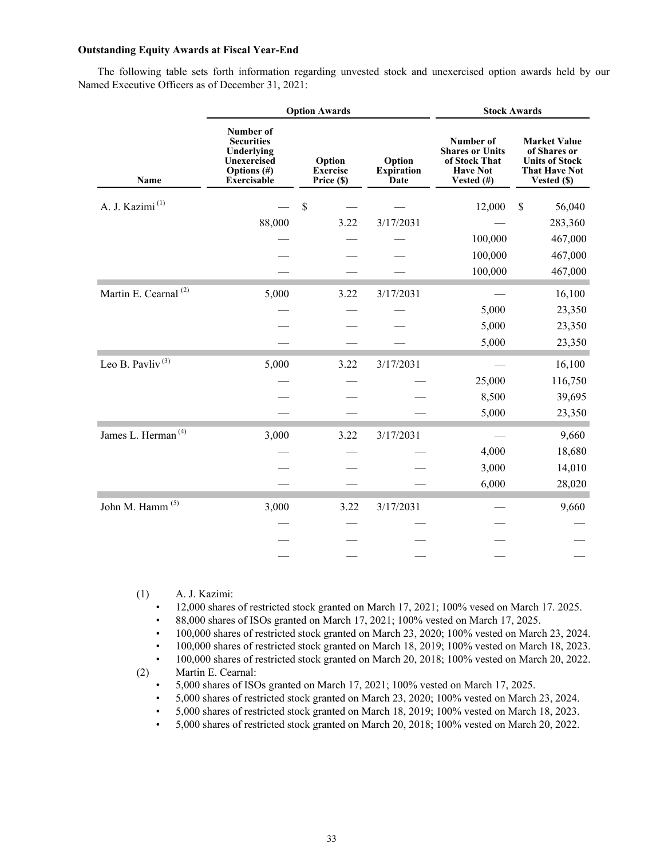# **Outstanding Equity Awards at Fiscal Year-End**

The following table sets forth information regarding unvested stock and unexercised option awards held by our Named Executive Officers as of December 31, 2021:

|                                  |                                                                                                  | <b>Option Awards</b>                    | <b>Stock Awards</b>                        |                                                                                       |                                                                                                     |  |  |
|----------------------------------|--------------------------------------------------------------------------------------------------|-----------------------------------------|--------------------------------------------|---------------------------------------------------------------------------------------|-----------------------------------------------------------------------------------------------------|--|--|
| Name                             | Number of<br><b>Securities</b><br>Underlying<br>Unexercised<br>Options (#)<br><b>Exercisable</b> | Option<br><b>Exercise</b><br>Price (\$) | Option<br><b>Expiration</b><br><b>Date</b> | Number of<br><b>Shares or Units</b><br>of Stock That<br><b>Have Not</b><br>Vested (#) | <b>Market Value</b><br>of Shares or<br><b>Units of Stock</b><br><b>That Have Not</b><br>Vested (\$) |  |  |
| A. J. Kazimi <sup>(1)</sup>      |                                                                                                  | \$                                      |                                            | 12,000                                                                                | \$<br>56,040                                                                                        |  |  |
|                                  | 88,000                                                                                           | 3.22                                    | 3/17/2031                                  |                                                                                       | 283,360                                                                                             |  |  |
|                                  |                                                                                                  |                                         |                                            | 100,000                                                                               | 467,000                                                                                             |  |  |
|                                  |                                                                                                  |                                         |                                            | 100,000                                                                               | 467,000                                                                                             |  |  |
|                                  |                                                                                                  |                                         |                                            | 100,000                                                                               | 467,000                                                                                             |  |  |
| Martin E. Cearnal <sup>(2)</sup> | 5,000                                                                                            | 3.22                                    | 3/17/2031                                  |                                                                                       | 16,100                                                                                              |  |  |
|                                  |                                                                                                  |                                         |                                            | 5,000                                                                                 | 23,350                                                                                              |  |  |
|                                  |                                                                                                  |                                         |                                            | 5,000                                                                                 | 23,350                                                                                              |  |  |
|                                  |                                                                                                  |                                         |                                            | 5,000                                                                                 | 23,350                                                                                              |  |  |
| Leo B. Pavliv <sup>(3)</sup>     | 5,000                                                                                            | 3.22                                    | 3/17/2031                                  |                                                                                       | 16,100                                                                                              |  |  |
|                                  |                                                                                                  |                                         |                                            | 25,000                                                                                | 116,750                                                                                             |  |  |
|                                  |                                                                                                  |                                         |                                            | 8,500                                                                                 | 39,695                                                                                              |  |  |
|                                  |                                                                                                  |                                         |                                            | 5,000                                                                                 | 23,350                                                                                              |  |  |
| James L. Herman <sup>(4)</sup>   | 3,000                                                                                            | 3.22                                    | 3/17/2031                                  |                                                                                       | 9,660                                                                                               |  |  |
|                                  |                                                                                                  |                                         |                                            | 4,000                                                                                 | 18,680                                                                                              |  |  |
|                                  |                                                                                                  |                                         |                                            | 3,000                                                                                 | 14,010                                                                                              |  |  |
|                                  |                                                                                                  |                                         |                                            | 6,000                                                                                 | 28,020                                                                                              |  |  |
| John M. Hamm <sup>(5)</sup>      | 3,000                                                                                            | 3.22                                    | 3/17/2031                                  |                                                                                       | 9,660                                                                                               |  |  |
|                                  |                                                                                                  |                                         |                                            |                                                                                       |                                                                                                     |  |  |
|                                  |                                                                                                  |                                         |                                            |                                                                                       |                                                                                                     |  |  |
|                                  |                                                                                                  |                                         |                                            |                                                                                       |                                                                                                     |  |  |

(1) A. J. Kazimi:

• 12,000 shares of restricted stock granted on March 17, 2021; 100% vesed on March 17. 2025.

• 88,000 shares of ISOs granted on March 17, 2021; 100% vested on March 17, 2025.

• 100,000 shares of restricted stock granted on March 23, 2020; 100% vested on March 23, 2024.

• 100,000 shares of restricted stock granted on March 18, 2019; 100% vested on March 18, 2023.

• 100,000 shares of restricted stock granted on March 20, 2018; 100% vested on March 20, 2022.

(2) Martin E. Cearnal:

• 5,000 shares of ISOs granted on March 17, 2021; 100% vested on March 17, 2025.

• 5,000 shares of restricted stock granted on March 23, 2020; 100% vested on March 23, 2024.

• 5,000 shares of restricted stock granted on March 18, 2019; 100% vested on March 18, 2023.

• 5,000 shares of restricted stock granted on March 20, 2018; 100% vested on March 20, 2022.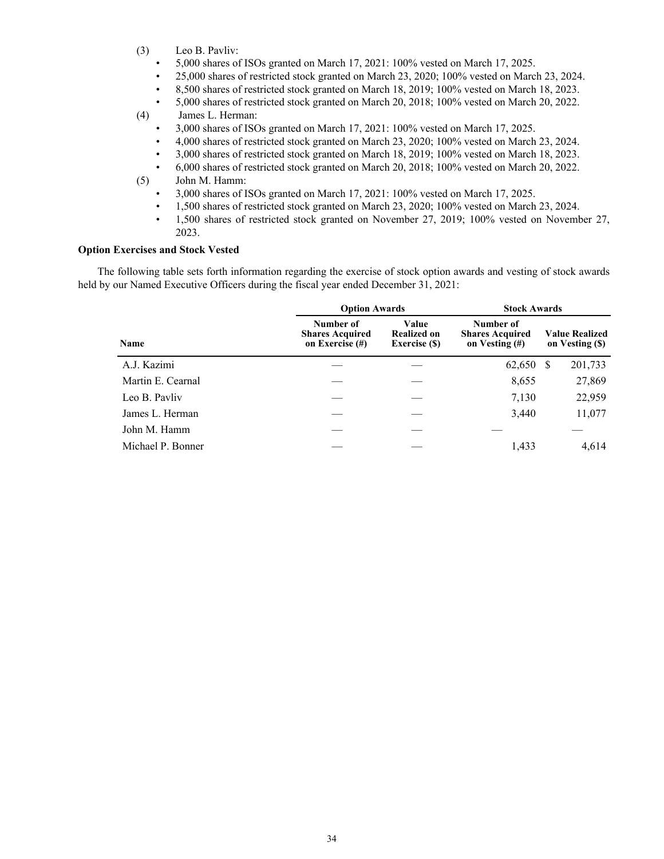- (3) Leo B. Pavliv:
	- 5,000 shares of ISOs granted on March 17, 2021: 100% vested on March 17, 2025.
	- 25,000 shares of restricted stock granted on March 23, 2020; 100% vested on March 23, 2024.
	- 8,500 shares of restricted stock granted on March 18, 2019; 100% vested on March 18, 2023.
	- 5,000 shares of restricted stock granted on March 20, 2018; 100% vested on March 20, 2022.
- (4) James L. Herman:
	- 3,000 shares of ISOs granted on March 17, 2021: 100% vested on March 17, 2025.
	- 4,000 shares of restricted stock granted on March 23, 2020; 100% vested on March 23, 2024.
	- 3,000 shares of restricted stock granted on March 18, 2019; 100% vested on March 18, 2023.
- 6,000 shares of restricted stock granted on March 20, 2018; 100% vested on March 20, 2022. (5) John M. Hamm:
	- 3,000 shares of ISOs granted on March 17, 2021: 100% vested on March 17, 2025.
	- 1,500 shares of restricted stock granted on March 23, 2020; 100% vested on March 23, 2024.
	- 1,500 shares of restricted stock granted on November 27, 2019; 100% vested on November 27, 2023.

# **Option Exercises and Stock Vested**

The following table sets forth information regarding the exercise of stock option awards and vesting of stock awards held by our Named Executive Officers during the fiscal year ended December 31, 2021:

|                   | <b>Option Awards</b>                                   |                                                     | <b>Stock Awards</b>                                      |                                          |  |  |
|-------------------|--------------------------------------------------------|-----------------------------------------------------|----------------------------------------------------------|------------------------------------------|--|--|
| Name              | Number of<br><b>Shares Acquired</b><br>on Exercise (#) | Value<br><b>Realized on</b><br><b>Exercise</b> (\$) | Number of<br><b>Shares Acquired</b><br>on Vesting $(\#)$ | <b>Value Realized</b><br>on Vesting (\$) |  |  |
| A.J. Kazimi       |                                                        |                                                     | 62,650                                                   | 201,733<br>S                             |  |  |
| Martin E. Cearnal |                                                        |                                                     | 8,655                                                    | 27,869                                   |  |  |
| Leo B. Pavliv     |                                                        |                                                     | 7,130                                                    | 22,959                                   |  |  |
| James L. Herman   |                                                        |                                                     | 3,440                                                    | 11,077                                   |  |  |
| John M. Hamm      |                                                        |                                                     |                                                          |                                          |  |  |
| Michael P. Bonner |                                                        |                                                     | 1,433                                                    | 4,614                                    |  |  |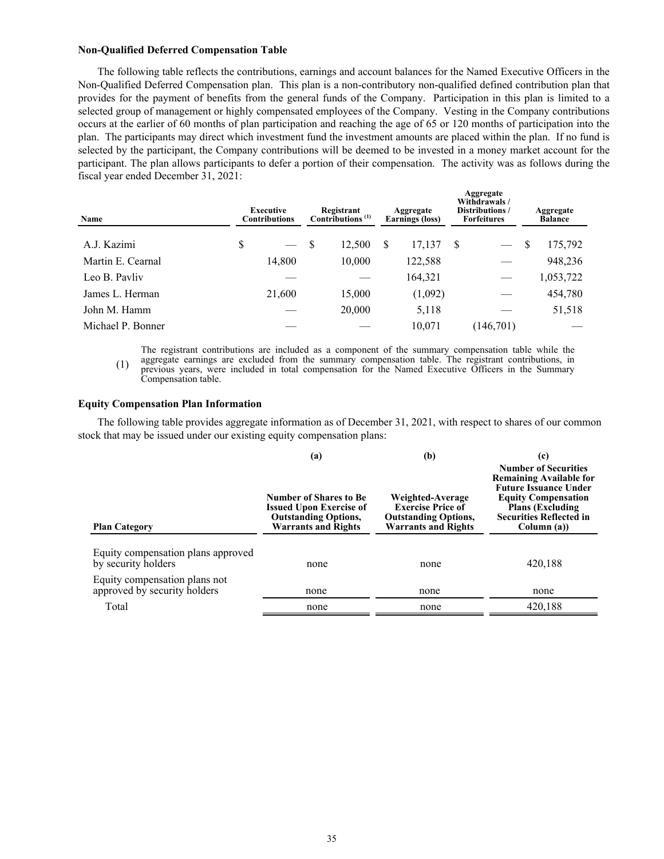#### **Non-Qualified Deferred Compensation Table**

The following table reflects the contributions, earnings and account balances for the Named Executive Officers in the Non-Qualified Deferred Compensation plan. This plan is a non-contributory non-qualified defined contribution plan that provides for the payment of benefits from the general funds of the Company. Participation in this plan is limited to a selected group of management or highly compensated employees of the Company. Vesting in the Company contributions occurs at the earlier of 60 months of plan participation and reaching the age of 65 or 120 months of participation into the plan. The participants may direct which investment fund the investment amounts are placed within the plan. If no fund is selected by the participant, the Company contributions will be deemed to be invested in a money market account for the participant. The plan allows participants to defer a portion of their compensation. The activity was as follows during the fiscal year ended December 31, 2021:

| Name              | <b>Executive</b><br><b>Contributions</b> |    | Registrant<br>Contributions <sup>(1)</sup> |   | Aggregate<br><b>Earnings</b> (loss) |    | Aggregate<br>Withdrawals/<br>Distributions /<br><b>Forfeitures</b> |   | Aggregate<br><b>Balance</b> |  |
|-------------------|------------------------------------------|----|--------------------------------------------|---|-------------------------------------|----|--------------------------------------------------------------------|---|-----------------------------|--|
| A.J. Kazimi       | \$                                       | -S | 12,500                                     | S | 17,137                              | -S | $\overbrace{\phantom{aaaaa}}$                                      | S | 175,792                     |  |
| Martin E. Cearnal | 14,800                                   |    | 10,000                                     |   | 122,588                             |    |                                                                    |   | 948,236                     |  |
| Leo B. Pavliv     |                                          |    |                                            |   | 164,321                             |    |                                                                    |   | 1,053,722                   |  |
| James L. Herman   | 21,600                                   |    | 15,000                                     |   | (1,092)                             |    |                                                                    |   | 454,780                     |  |
| John M. Hamm      |                                          |    | 20,000                                     |   | 5,118                               |    |                                                                    |   | 51,518                      |  |
| Michael P. Bonner |                                          |    |                                            |   | 10.071                              |    | (146,701)                                                          |   |                             |  |

(1) The registrant contributions are included as a component of the summary compensation table while the aggregate earnings are excluded from the summary compensation table. The registrant contributions, in previous years, were included in total compensation for the Named Executive Officers in the Summary Compensation table.

#### **Equity Compensation Plan Information**

The following table provides aggregate information as of December 31, 2021, with respect to shares of our common stock that may be issued under our existing equity compensation plans:

| <b>Plan Category</b>                                                                       | (a)<br><b>Number of Shares to Be</b><br><b>Issued Upon Exercise of</b><br><b>Outstanding Options,</b><br><b>Warrants and Rights</b> | (b)<br>Weighted-Average<br><b>Exercise Price of</b><br><b>Outstanding Options,</b><br><b>Warrants and Rights</b> | (c)<br><b>Number of Securities</b><br><b>Remaining Available for</b><br><b>Future Issuance Under</b><br><b>Equity Compensation</b><br><b>Plans (Excluding)</b><br><b>Securities Reflected in</b><br>Column (a)) |  |  |  |
|--------------------------------------------------------------------------------------------|-------------------------------------------------------------------------------------------------------------------------------------|------------------------------------------------------------------------------------------------------------------|-----------------------------------------------------------------------------------------------------------------------------------------------------------------------------------------------------------------|--|--|--|
| Equity compensation plans approved<br>by security holders<br>Equity compensation plans not | none                                                                                                                                | none                                                                                                             | 420,188                                                                                                                                                                                                         |  |  |  |
| approved by security holders                                                               | none                                                                                                                                | none                                                                                                             | none                                                                                                                                                                                                            |  |  |  |
| Total                                                                                      | none                                                                                                                                | none                                                                                                             | 420,188                                                                                                                                                                                                         |  |  |  |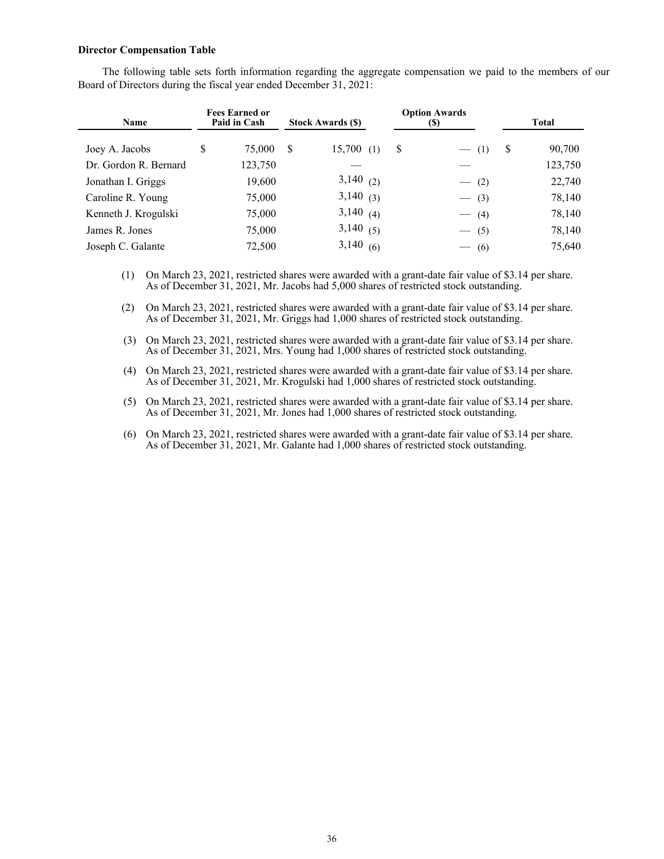#### **Director Compensation Table**

The following table sets forth information regarding the aggregate compensation we paid to the members of our Board of Directors during the fiscal year ended December 31, 2021:

| <b>Name</b>           | <b>Fees Earned or</b><br>Paid in Cash | <b>Stock Awards (\$)</b> | <b>Option Awards</b><br>$\left( \mathbb{S}\right)$ |         |   | Total   |
|-----------------------|---------------------------------------|--------------------------|----------------------------------------------------|---------|---|---------|
| Joey A. Jacobs        | S<br>75,000                           | S<br>15,700(1)           | S                                                  | $- (1)$ | S | 90,700  |
| Dr. Gordon R. Bernard | 123,750                               |                          |                                                    |         |   | 123,750 |
| Jonathan I. Griggs    | 19,600                                | $3,140$ (2)              |                                                    | $-$ (2) |   | 22,740  |
| Caroline R. Young     | 75,000                                | $3,140$ (3)              |                                                    | $-$ (3) |   | 78,140  |
| Kenneth J. Krogulski  | 75,000                                | $3,140$ (4)              |                                                    | $-$ (4) |   | 78,140  |
| James R. Jones        | 75,000                                | 3,140(5)                 |                                                    | $- (5)$ |   | 78,140  |
| Joseph C. Galante     | 72,500                                | 3,140(6)                 |                                                    | $-$ (6) |   | 75,640  |

(1) On March 23, 2021, restricted shares were awarded with a grant-date fair value of \$3.14 per share. As of December 31, 2021, Mr. Jacobs had 5,000 shares of restricted stock outstanding.

(2) On March 23, 2021, restricted shares were awarded with a grant-date fair value of \$3.14 per share. As of December 31, 2021, Mr. Griggs had 1,000 shares of restricted stock outstanding.

(3) On March 23, 2021, restricted shares were awarded with a grant-date fair value of \$3.14 per share. As of December 31, 2021, Mrs. Young had 1,000 shares of restricted stock outstanding.

(4) On March 23, 2021, restricted shares were awarded with a grant-date fair value of \$3.14 per share. As of December 31, 2021, Mr. Krogulski had 1,000 shares of restricted stock outstanding.

(5) On March 23, 2021, restricted shares were awarded with a grant-date fair value of \$3.14 per share. As of December 31, 2021, Mr. Jones had 1,000 shares of restricted stock outstanding.

(6) On March 23, 2021, restricted shares were awarded with a grant-date fair value of \$3.14 per share. As of December 31, 2021, Mr. Galante had 1,000 shares of restricted stock outstanding.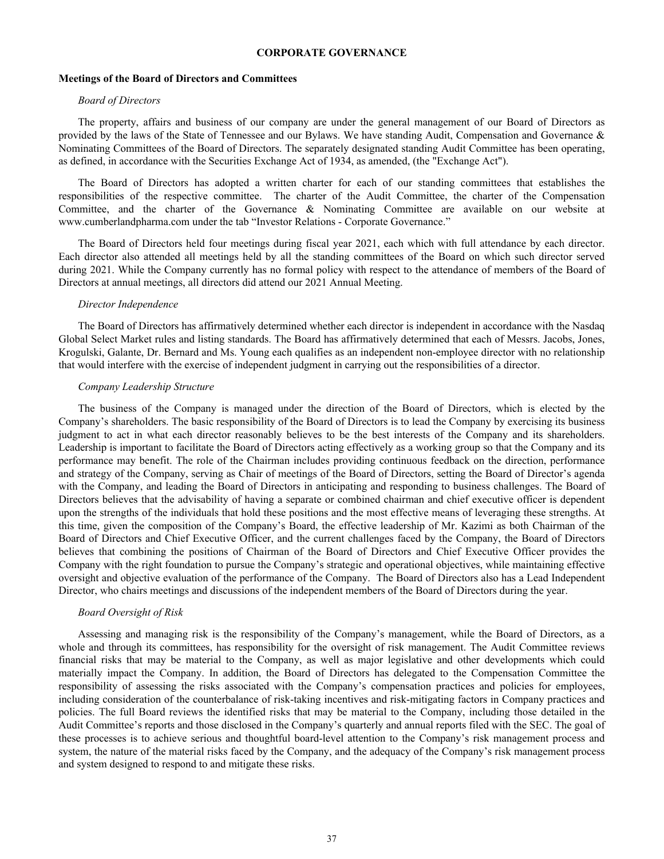# **CORPORATE GOVERNANCE**

#### **Meetings of the Board of Directors and Committees**

# *Board of Directors*

The property, affairs and business of our company are under the general management of our Board of Directors as provided by the laws of the State of Tennessee and our Bylaws. We have standing Audit, Compensation and Governance & Nominating Committees of the Board of Directors. The separately designated standing Audit Committee has been operating, as defined, in accordance with the Securities Exchange Act of 1934, as amended, (the "Exchange Act").

The Board of Directors has adopted a written charter for each of our standing committees that establishes the responsibilities of the respective committee. The charter of the Audit Committee, the charter of the Compensation Committee, and the charter of the Governance & Nominating Committee are available on our website at www.cumberlandpharma.com under the tab "Investor Relations - Corporate Governance."

The Board of Directors held four meetings during fiscal year 2021, each which with full attendance by each director. Each director also attended all meetings held by all the standing committees of the Board on which such director served during 2021. While the Company currently has no formal policy with respect to the attendance of members of the Board of Directors at annual meetings, all directors did attend our 2021 Annual Meeting.

#### *Director Independence*

The Board of Directors has affirmatively determined whether each director is independent in accordance with the Nasdaq Global Select Market rules and listing standards. The Board has affirmatively determined that each of Messrs. Jacobs, Jones, Krogulski, Galante, Dr. Bernard and Ms. Young each qualifies as an independent non-employee director with no relationship that would interfere with the exercise of independent judgment in carrying out the responsibilities of a director.

# *Company Leadership Structure*

The business of the Company is managed under the direction of the Board of Directors, which is elected by the Company's shareholders. The basic responsibility of the Board of Directors is to lead the Company by exercising its business judgment to act in what each director reasonably believes to be the best interests of the Company and its shareholders. Leadership is important to facilitate the Board of Directors acting effectively as a working group so that the Company and its performance may benefit. The role of the Chairman includes providing continuous feedback on the direction, performance and strategy of the Company, serving as Chair of meetings of the Board of Directors, setting the Board of Director's agenda with the Company, and leading the Board of Directors in anticipating and responding to business challenges. The Board of Directors believes that the advisability of having a separate or combined chairman and chief executive officer is dependent upon the strengths of the individuals that hold these positions and the most effective means of leveraging these strengths. At this time, given the composition of the Company's Board, the effective leadership of Mr. Kazimi as both Chairman of the Board of Directors and Chief Executive Officer, and the current challenges faced by the Company, the Board of Directors believes that combining the positions of Chairman of the Board of Directors and Chief Executive Officer provides the Company with the right foundation to pursue the Company's strategic and operational objectives, while maintaining effective oversight and objective evaluation of the performance of the Company. The Board of Directors also has a Lead Independent Director, who chairs meetings and discussions of the independent members of the Board of Directors during the year.

## *Board Oversight of Risk*

Assessing and managing risk is the responsibility of the Company's management, while the Board of Directors, as a whole and through its committees, has responsibility for the oversight of risk management. The Audit Committee reviews financial risks that may be material to the Company, as well as major legislative and other developments which could materially impact the Company. In addition, the Board of Directors has delegated to the Compensation Committee the responsibility of assessing the risks associated with the Company's compensation practices and policies for employees, including consideration of the counterbalance of risk-taking incentives and risk-mitigating factors in Company practices and policies. The full Board reviews the identified risks that may be material to the Company, including those detailed in the Audit Committee's reports and those disclosed in the Company's quarterly and annual reports filed with the SEC. The goal of these processes is to achieve serious and thoughtful board-level attention to the Company's risk management process and system, the nature of the material risks faced by the Company, and the adequacy of the Company's risk management process and system designed to respond to and mitigate these risks.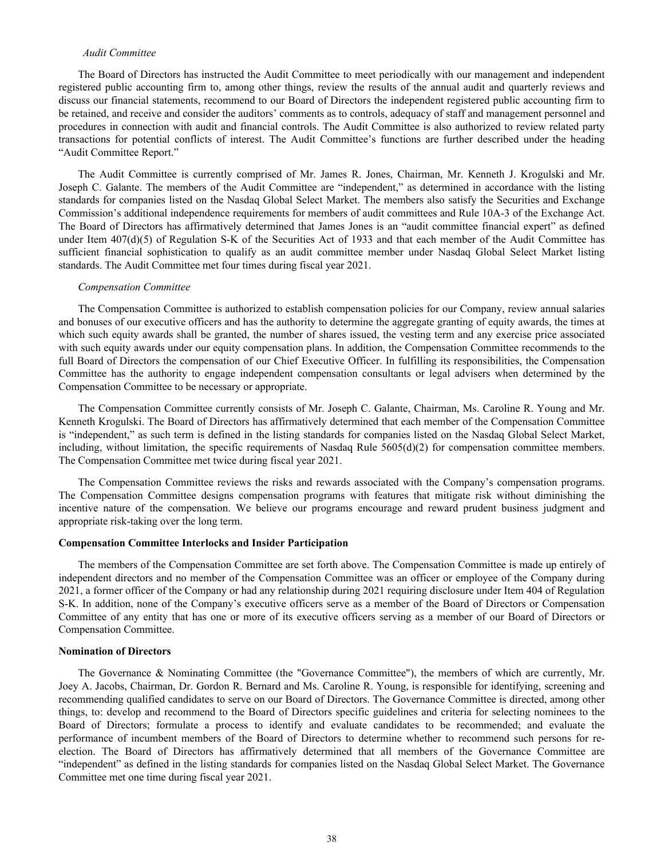# *Audit Committee*

The Board of Directors has instructed the Audit Committee to meet periodically with our management and independent registered public accounting firm to, among other things, review the results of the annual audit and quarterly reviews and discuss our financial statements, recommend to our Board of Directors the independent registered public accounting firm to be retained, and receive and consider the auditors' comments as to controls, adequacy of staff and management personnel and procedures in connection with audit and financial controls. The Audit Committee is also authorized to review related party transactions for potential conflicts of interest. The Audit Committee's functions are further described under the heading "Audit Committee Report."

The Audit Committee is currently comprised of Mr. James R. Jones, Chairman, Mr. Kenneth J. Krogulski and Mr. Joseph C. Galante. The members of the Audit Committee are "independent," as determined in accordance with the listing standards for companies listed on the Nasdaq Global Select Market. The members also satisfy the Securities and Exchange Commission's additional independence requirements for members of audit committees and Rule 10A-3 of the Exchange Act. The Board of Directors has affirmatively determined that James Jones is an "audit committee financial expert" as defined under Item  $407(d)(5)$  of Regulation S-K of the Securities Act of 1933 and that each member of the Audit Committee has sufficient financial sophistication to qualify as an audit committee member under Nasdaq Global Select Market listing standards. The Audit Committee met four times during fiscal year 2021.

#### *Compensation Committee*

The Compensation Committee is authorized to establish compensation policies for our Company, review annual salaries and bonuses of our executive officers and has the authority to determine the aggregate granting of equity awards, the times at which such equity awards shall be granted, the number of shares issued, the vesting term and any exercise price associated with such equity awards under our equity compensation plans. In addition, the Compensation Committee recommends to the full Board of Directors the compensation of our Chief Executive Officer. In fulfilling its responsibilities, the Compensation Committee has the authority to engage independent compensation consultants or legal advisers when determined by the Compensation Committee to be necessary or appropriate.

The Compensation Committee currently consists of Mr. Joseph C. Galante, Chairman, Ms. Caroline R. Young and Mr. Kenneth Krogulski. The Board of Directors has affirmatively determined that each member of the Compensation Committee is "independent," as such term is defined in the listing standards for companies listed on the Nasdaq Global Select Market, including, without limitation, the specific requirements of Nasdaq Rule 5605(d)(2) for compensation committee members. The Compensation Committee met twice during fiscal year 2021.

The Compensation Committee reviews the risks and rewards associated with the Company's compensation programs. The Compensation Committee designs compensation programs with features that mitigate risk without diminishing the incentive nature of the compensation. We believe our programs encourage and reward prudent business judgment and appropriate risk-taking over the long term.

#### **Compensation Committee Interlocks and Insider Participation**

The members of the Compensation Committee are set forth above. The Compensation Committee is made up entirely of independent directors and no member of the Compensation Committee was an officer or employee of the Company during 2021, a former officer of the Company or had any relationship during 2021 requiring disclosure under Item 404 of Regulation S-K. In addition, none of the Company's executive officers serve as a member of the Board of Directors or Compensation Committee of any entity that has one or more of its executive officers serving as a member of our Board of Directors or Compensation Committee.

#### **Nomination of Directors**

The Governance & Nominating Committee (the "Governance Committee"), the members of which are currently, Mr. Joey A. Jacobs, Chairman, Dr. Gordon R. Bernard and Ms. Caroline R. Young, is responsible for identifying, screening and recommending qualified candidates to serve on our Board of Directors. The Governance Committee is directed, among other things, to: develop and recommend to the Board of Directors specific guidelines and criteria for selecting nominees to the Board of Directors; formulate a process to identify and evaluate candidates to be recommended; and evaluate the performance of incumbent members of the Board of Directors to determine whether to recommend such persons for reelection. The Board of Directors has affirmatively determined that all members of the Governance Committee are "independent" as defined in the listing standards for companies listed on the Nasdaq Global Select Market. The Governance Committee met one time during fiscal year 2021.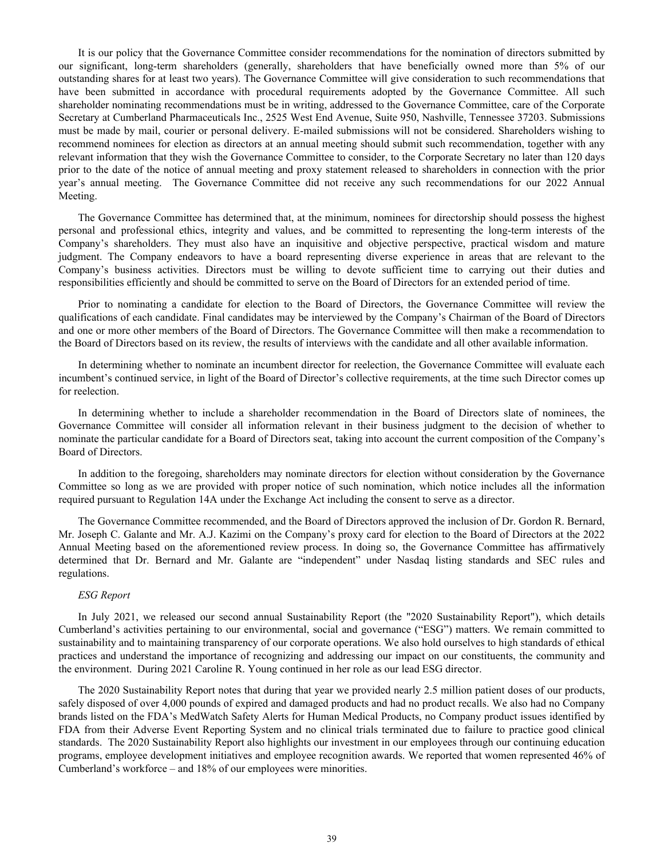It is our policy that the Governance Committee consider recommendations for the nomination of directors submitted by our significant, long-term shareholders (generally, shareholders that have beneficially owned more than 5% of our outstanding shares for at least two years). The Governance Committee will give consideration to such recommendations that have been submitted in accordance with procedural requirements adopted by the Governance Committee. All such shareholder nominating recommendations must be in writing, addressed to the Governance Committee, care of the Corporate Secretary at Cumberland Pharmaceuticals Inc., 2525 West End Avenue, Suite 950, Nashville, Tennessee 37203. Submissions must be made by mail, courier or personal delivery. E-mailed submissions will not be considered. Shareholders wishing to recommend nominees for election as directors at an annual meeting should submit such recommendation, together with any relevant information that they wish the Governance Committee to consider, to the Corporate Secretary no later than 120 days prior to the date of the notice of annual meeting and proxy statement released to shareholders in connection with the prior year's annual meeting. The Governance Committee did not receive any such recommendations for our 2022 Annual Meeting.

The Governance Committee has determined that, at the minimum, nominees for directorship should possess the highest personal and professional ethics, integrity and values, and be committed to representing the long-term interests of the Company's shareholders. They must also have an inquisitive and objective perspective, practical wisdom and mature judgment. The Company endeavors to have a board representing diverse experience in areas that are relevant to the Company's business activities. Directors must be willing to devote sufficient time to carrying out their duties and responsibilities efficiently and should be committed to serve on the Board of Directors for an extended period of time.

Prior to nominating a candidate for election to the Board of Directors, the Governance Committee will review the qualifications of each candidate. Final candidates may be interviewed by the Company's Chairman of the Board of Directors and one or more other members of the Board of Directors. The Governance Committee will then make a recommendation to the Board of Directors based on its review, the results of interviews with the candidate and all other available information.

In determining whether to nominate an incumbent director for reelection, the Governance Committee will evaluate each incumbent's continued service, in light of the Board of Director's collective requirements, at the time such Director comes up for reelection.

In determining whether to include a shareholder recommendation in the Board of Directors slate of nominees, the Governance Committee will consider all information relevant in their business judgment to the decision of whether to nominate the particular candidate for a Board of Directors seat, taking into account the current composition of the Company's Board of Directors.

In addition to the foregoing, shareholders may nominate directors for election without consideration by the Governance Committee so long as we are provided with proper notice of such nomination, which notice includes all the information required pursuant to Regulation 14A under the Exchange Act including the consent to serve as a director.

The Governance Committee recommended, and the Board of Directors approved the inclusion of Dr. Gordon R. Bernard, Mr. Joseph C. Galante and Mr. A.J. Kazimi on the Company's proxy card for election to the Board of Directors at the 2022 Annual Meeting based on the aforementioned review process. In doing so, the Governance Committee has affirmatively determined that Dr. Bernard and Mr. Galante are "independent" under Nasdaq listing standards and SEC rules and regulations.

## *ESG Report*

In July 2021, we released our second annual Sustainability Report (the "2020 Sustainability Report"), which details Cumberland's activities pertaining to our environmental, social and governance ("ESG") matters. We remain committed to sustainability and to maintaining transparency of our corporate operations. We also hold ourselves to high standards of ethical practices and understand the importance of recognizing and addressing our impact on our constituents, the community and the environment. During 2021 Caroline R. Young continued in her role as our lead ESG director.

The 2020 Sustainability Report notes that during that year we provided nearly 2.5 million patient doses of our products, safely disposed of over 4,000 pounds of expired and damaged products and had no product recalls. We also had no Company brands listed on the FDA's MedWatch Safety Alerts for Human Medical Products, no Company product issues identified by FDA from their Adverse Event Reporting System and no clinical trials terminated due to failure to practice good clinical standards. The 2020 Sustainability Report also highlights our investment in our employees through our continuing education programs, employee development initiatives and employee recognition awards. We reported that women represented 46% of Cumberland's workforce – and 18% of our employees were minorities.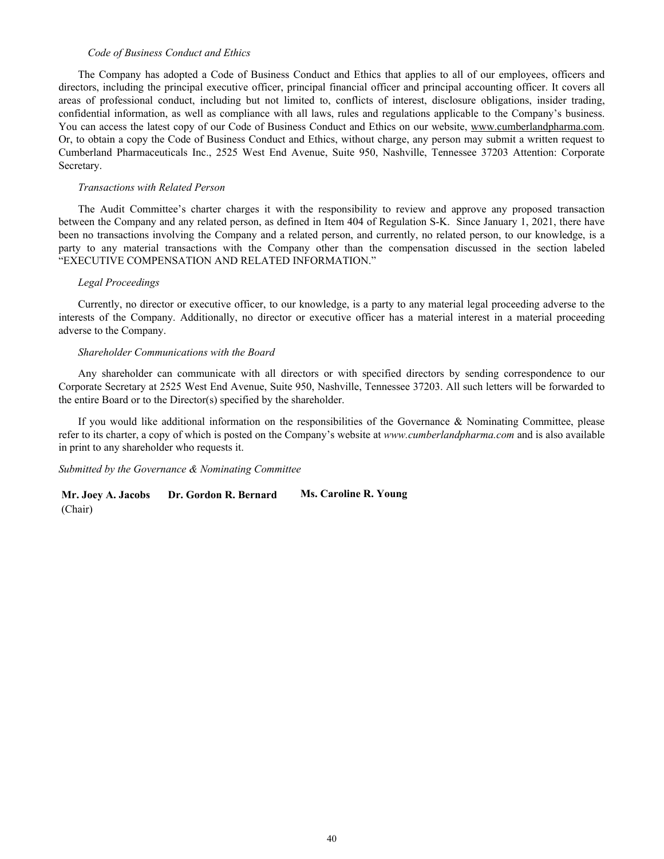#### *Code of Business Conduct and Ethics*

The Company has adopted a Code of Business Conduct and Ethics that applies to all of our employees, officers and directors, including the principal executive officer, principal financial officer and principal accounting officer. It covers all areas of professional conduct, including but not limited to, conflicts of interest, disclosure obligations, insider trading, confidential information, as well as compliance with all laws, rules and regulations applicable to the Company's business. You can access the latest copy of our Code of Business Conduct and Ethics on our website, www.cumberlandpharma.com. Or, to obtain a copy the Code of Business Conduct and Ethics, without charge, any person may submit a written request to Cumberland Pharmaceuticals Inc., 2525 West End Avenue, Suite 950, Nashville, Tennessee 37203 Attention: Corporate Secretary.

#### *Transactions with Related Person*

The Audit Committee's charter charges it with the responsibility to review and approve any proposed transaction between the Company and any related person, as defined in Item 404 of Regulation S-K. Since January 1, 2021, there have been no transactions involving the Company and a related person, and currently, no related person, to our knowledge, is a party to any material transactions with the Company other than the compensation discussed in the section labeled "EXECUTIVE COMPENSATION AND RELATED INFORMATION."

#### *Legal Proceedings*

Currently, no director or executive officer, to our knowledge, is a party to any material legal proceeding adverse to the interests of the Company. Additionally, no director or executive officer has a material interest in a material proceeding adverse to the Company.

#### *Shareholder Communications with the Board*

Any shareholder can communicate with all directors or with specified directors by sending correspondence to our Corporate Secretary at 2525 West End Avenue, Suite 950, Nashville, Tennessee 37203. All such letters will be forwarded to the entire Board or to the Director(s) specified by the shareholder.

If you would like additional information on the responsibilities of the Governance & Nominating Committee, please refer to its charter, a copy of which is posted on the Company's website at *www.cumberlandpharma.com* and is also available in print to any shareholder who requests it.

*Submitted by the Governance & Nominating Committee*

**Mr. Joey A. Jacobs Dr. Gordon R. Bernard Ms. Caroline R. Young** (Chair)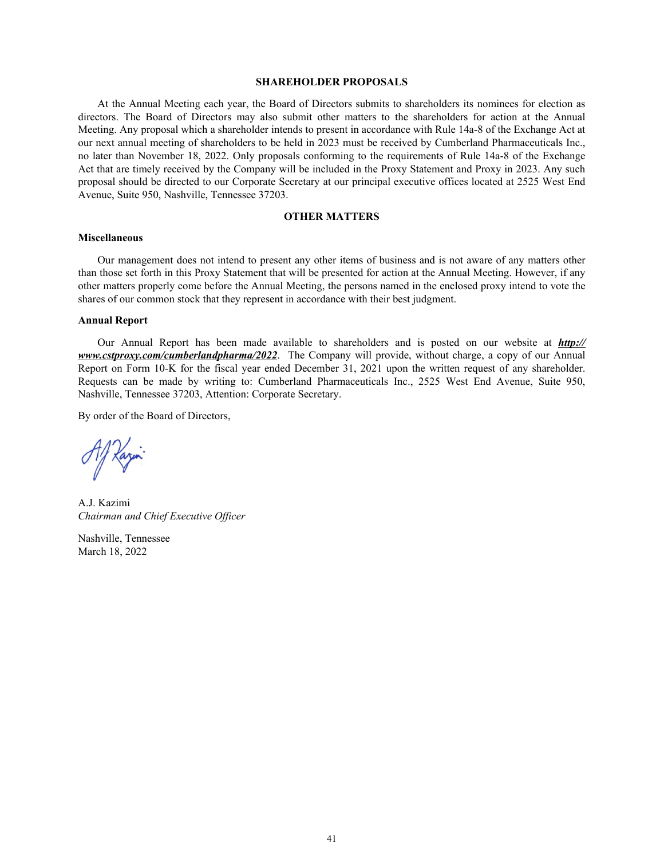#### **SHAREHOLDER PROPOSALS**

At the Annual Meeting each year, the Board of Directors submits to shareholders its nominees for election as directors. The Board of Directors may also submit other matters to the shareholders for action at the Annual Meeting. Any proposal which a shareholder intends to present in accordance with Rule 14a-8 of the Exchange Act at our next annual meeting of shareholders to be held in 2023 must be received by Cumberland Pharmaceuticals Inc., no later than November 18, 2022. Only proposals conforming to the requirements of Rule 14a-8 of the Exchange Act that are timely received by the Company will be included in the Proxy Statement and Proxy in 2023. Any such proposal should be directed to our Corporate Secretary at our principal executive offices located at 2525 West End Avenue, Suite 950, Nashville, Tennessee 37203.

# **OTHER MATTERS**

# **Miscellaneous**

Our management does not intend to present any other items of business and is not aware of any matters other than those set forth in this Proxy Statement that will be presented for action at the Annual Meeting. However, if any other matters properly come before the Annual Meeting, the persons named in the enclosed proxy intend to vote the shares of our common stock that they represent in accordance with their best judgment.

#### **Annual Report**

Our Annual Report has been made available to shareholders and is posted on our website at *http:// www.cstproxy.com/cumberlandpharma/2022*. The Company will provide, without charge, a copy of our Annual Report on Form 10-K for the fiscal year ended December 31, 2021 upon the written request of any shareholder. Requests can be made by writing to: Cumberland Pharmaceuticals Inc., 2525 West End Avenue, Suite 950, Nashville, Tennessee 37203, Attention: Corporate Secretary.

By order of the Board of Directors,

Al Kazin

A.J. Kazimi *Chairman and Chief Executive Officer*

Nashville, Tennessee March 18, 2022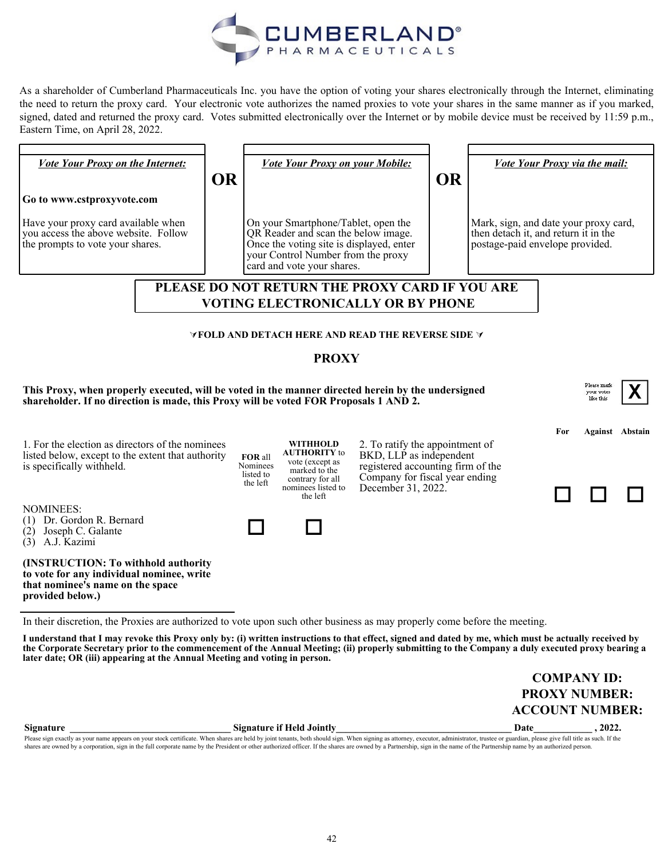

As a shareholder of Cumberland Pharmaceuticals Inc. you have the option of voting your shares electronically through the Internet, eliminating the need to return the proxy card. Your electronic vote authorizes the named proxies to vote your shares in the same manner as if you marked, signed, dated and returned the proxy card. Votes submitted electronically over the Internet or by mobile device must be received by 11:59 p.m., Eastern Time, on April 28, 2022.

| <b>Vote Your Proxy on the Internet:</b>                                                                                                                                                                                                                                                                                                                                                  | <b>OR</b> |                                  | Vote Your Proxy on your Mobile:                                                                                                                                                            |                                                                                                                                   | <b>OR</b> |                                                                                                                  | <b>Vote Your Proxy via the mail:</b> |                                               |                        |  |
|------------------------------------------------------------------------------------------------------------------------------------------------------------------------------------------------------------------------------------------------------------------------------------------------------------------------------------------------------------------------------------------|-----------|----------------------------------|--------------------------------------------------------------------------------------------------------------------------------------------------------------------------------------------|-----------------------------------------------------------------------------------------------------------------------------------|-----------|------------------------------------------------------------------------------------------------------------------|--------------------------------------|-----------------------------------------------|------------------------|--|
| Go to www.cstproxyvote.com                                                                                                                                                                                                                                                                                                                                                               |           |                                  |                                                                                                                                                                                            |                                                                                                                                   |           |                                                                                                                  |                                      |                                               |                        |  |
| Have your proxy card available when<br>you access the above website. Follow<br>the prompts to vote your shares.                                                                                                                                                                                                                                                                          |           |                                  | On your Smartphone/Tablet, open the<br>QR Reader and scan the below image.<br>Once the voting site is displayed, enter<br>your Control Number from the proxy<br>card and vote your shares. |                                                                                                                                   |           | Mark, sign, and date your proxy card,<br>then detach it, and return it in the<br>postage-paid envelope provided. |                                      |                                               |                        |  |
|                                                                                                                                                                                                                                                                                                                                                                                          |           |                                  |                                                                                                                                                                                            | PLEASE DO NOT RETURN THE PROXY CARD IF YOU ARE                                                                                    |           |                                                                                                                  |                                      |                                               |                        |  |
|                                                                                                                                                                                                                                                                                                                                                                                          |           |                                  |                                                                                                                                                                                            | <b>VOTING ELECTRONICALLY OR BY PHONE</b>                                                                                          |           |                                                                                                                  |                                      |                                               |                        |  |
|                                                                                                                                                                                                                                                                                                                                                                                          |           |                                  |                                                                                                                                                                                            |                                                                                                                                   |           |                                                                                                                  |                                      |                                               |                        |  |
|                                                                                                                                                                                                                                                                                                                                                                                          |           |                                  |                                                                                                                                                                                            | $\forall$ FOLD AND DETACH HERE AND READ THE REVERSE SIDE $\forall$                                                                |           |                                                                                                                  |                                      |                                               |                        |  |
|                                                                                                                                                                                                                                                                                                                                                                                          |           |                                  | <b>PROXY</b>                                                                                                                                                                               |                                                                                                                                   |           |                                                                                                                  |                                      |                                               |                        |  |
| This Proxy, when properly executed, will be voted in the manner directed herein by the undersigned<br>shareholder. If no direction is made, this Proxy will be voted FOR Proposals 1 AND 2.                                                                                                                                                                                              |           |                                  |                                                                                                                                                                                            |                                                                                                                                   |           |                                                                                                                  |                                      | Please mark<br><b>YOUT VOLES</b><br>like this |                        |  |
| 1. For the election as directors of the nominees<br>listed below, except to the extent that authority<br>is specifically withheld.                                                                                                                                                                                                                                                       |           | FOR all<br>Nominees<br>listed to | <b>WITHHOLD</b><br><b>AUTHORITY</b> to<br>vote (except as<br>marked to the                                                                                                                 | 2. To ratify the appointment of<br>BKD, LLP as independent<br>registered accounting firm of the<br>Company for fiscal year ending |           |                                                                                                                  | For                                  |                                               | <b>Against</b> Abstain |  |
|                                                                                                                                                                                                                                                                                                                                                                                          |           | the left                         | contrary for all<br>nominees listed to<br>the left                                                                                                                                         | December 31, 2022.                                                                                                                |           |                                                                                                                  |                                      |                                               |                        |  |
| <b>NOMINEES:</b><br>(1) Dr. Gordon R. Bernard<br>$(2)$ Joseph C. Galante<br>$(3)$ A.J. Kazimi                                                                                                                                                                                                                                                                                            |           |                                  |                                                                                                                                                                                            |                                                                                                                                   |           |                                                                                                                  |                                      |                                               |                        |  |
| (INSTRUCTION: To withhold authority<br>to vote for any individual nominee, write<br>that nominee's name on the space<br>provided below.)                                                                                                                                                                                                                                                 |           |                                  |                                                                                                                                                                                            |                                                                                                                                   |           |                                                                                                                  |                                      |                                               |                        |  |
| In their discretion, the Proxies are authorized to vote upon such other business as may properly come before the meeting.                                                                                                                                                                                                                                                                |           |                                  |                                                                                                                                                                                            |                                                                                                                                   |           |                                                                                                                  |                                      |                                               |                        |  |
| I understand that I may revoke this Proxy only by: (i) written instructions to that effect, signed and dated by me, which must be actually received by<br>the Corporate Secretary prior to the commencement of the Annual Meeting; (ii) properly submitting to the Company a duly executed proxy bearing a<br>later date; OR (iii) appearing at the Annual Meeting and voting in person. |           |                                  |                                                                                                                                                                                            |                                                                                                                                   |           |                                                                                                                  |                                      |                                               |                        |  |

| <b>COMPANY ID:</b>   |
|----------------------|
| <b>PROXY NUMBER:</b> |
| ACCOUNT NUMBER:      |

| <b>Signature</b>                                                                                                                                                                                                               | <b>Signature if Held Jointly</b> | Date | 2022. |  |
|--------------------------------------------------------------------------------------------------------------------------------------------------------------------------------------------------------------------------------|----------------------------------|------|-------|--|
| Please sign exactly as your name appears on your stock certificate. When shares are held by joint tenants, both should sign. When signing as attorney, executor, administrator, trustee or guardian, please give full title as |                                  |      |       |  |
| shares are owned by a corporation, sign in the full corporate name by the President or other authorized officer. If the shares are owned by a Partnership, sign in the name of the Partnership name by an authorized person.   |                                  |      |       |  |